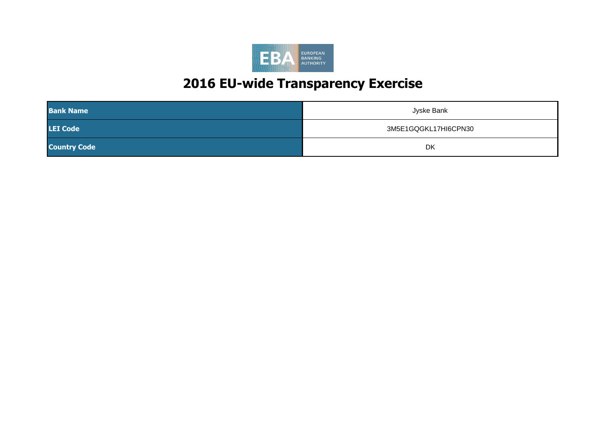

| <b>Bank Name</b>    | Jyske Bank           |
|---------------------|----------------------|
| <b>LEI Code</b>     | 3M5E1GQGKL17HI6CPN30 |
| <b>Country Code</b> | DK                   |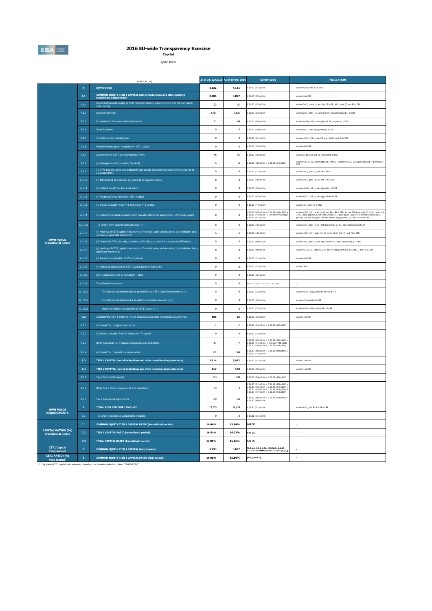

**Capital** Jyske Bank

|                                                         |                | (mln EUR, %)                                                                                                                           |              | As of 31/12/2015 As of 30/06/2016 | <b>COREP CODE</b>                                                                                                                                                                        | <b>REGULATION</b>                                                                                                                                                                                                                                                                                               |
|---------------------------------------------------------|----------------|----------------------------------------------------------------------------------------------------------------------------------------|--------------|-----------------------------------|------------------------------------------------------------------------------------------------------------------------------------------------------------------------------------------|-----------------------------------------------------------------------------------------------------------------------------------------------------------------------------------------------------------------------------------------------------------------------------------------------------------------|
|                                                         | $\overline{A}$ | <b>OWN FUNDS</b>                                                                                                                       | 4,032        | 4,151                             | C 01.00 (r010,c010)                                                                                                                                                                      | Articles 4(118) and 72 of CRR                                                                                                                                                                                                                                                                                   |
|                                                         | A.1            | COMMON EQUITY TIER 1 CAPITAL (net of deductions and after applying<br>transitional adjustments)                                        | 3,806        | 3,877                             | C 01.00 (r020,c010)                                                                                                                                                                      | Article 50 of CRR                                                                                                                                                                                                                                                                                               |
|                                                         | A.1.1          | Capital instruments eligible as CET1 Capital (including share premium and net own capital<br>instruments)                              | 32           | 51                                | C 01.00 (r030,c010)                                                                                                                                                                      | Articles 26(1) points (a) and (b), 27 to 29, 36(1) point (f) and 42 of CRR                                                                                                                                                                                                                                      |
|                                                         | A.1.2          | <b>Retained earnings</b>                                                                                                               | 3,761        | 3,821                             | 01.00 (r130,c010)                                                                                                                                                                        | Articles 26(1) point (c), 26(2) and 36 (1) points (a) and (I) of CRR                                                                                                                                                                                                                                            |
|                                                         | A.1.3          | Accumulated other comprehensive income                                                                                                 | 71           | 64                                | C 01.00 (r180,c010)                                                                                                                                                                      | Articles 4(100), 26(1) point (d) and 36 (1) point (l) of CRR                                                                                                                                                                                                                                                    |
|                                                         | A.1.4          | Other Reserves                                                                                                                         | $\,0\,$      | $\,0\,$                           | C 01.00 (r200,c010)                                                                                                                                                                      | Articles 4(117) and 26(1) point (e) of CRR                                                                                                                                                                                                                                                                      |
|                                                         | A.1.5          | Funds for general banking risk                                                                                                         | $\mathbf 0$  | $\,0\,$                           | C 01.00 (r210,c010)                                                                                                                                                                      | Articles 4(112), 26(1) point (f) and 36 (1) point (l) of CRR                                                                                                                                                                                                                                                    |
|                                                         | A.1.6          | Minority interest given recognition in CET1 capital                                                                                    | $\bf{0}$     | $\mathbf 0$                       | C 01.00 (r230,c010)                                                                                                                                                                      | Article 84 of CRR                                                                                                                                                                                                                                                                                               |
|                                                         | A.1.7          | Adjustments to CET1 due to prudential filters                                                                                          | $-48$        | $-51$                             | 01.00 (r250,c010)                                                                                                                                                                        | Articles 32 to 35 of and 36 (1) point (I) of CRR                                                                                                                                                                                                                                                                |
|                                                         | A.1.8          | (-) Intangible assets (including Goodwill)                                                                                             | -9           | -8                                | 01.00 (r300,c010) + C 01.00 (r340,c010)                                                                                                                                                  | Articles 4(113), 36(1) point (b) and 37 of CRR. Articles 4(115), 36(1) point (b) and 37 point (a) of CCR                                                                                                                                                                                                        |
|                                                         | A.1.9          | (-) DTAs that rely on future profitability and do not arise from temporary differences net of<br>associated DTLs                       | $\mathbf 0$  | $\,0\,$                           | C 01.00 (r370,c010)                                                                                                                                                                      | Articles 36(1) point (c) and 38 of CRR                                                                                                                                                                                                                                                                          |
|                                                         | A.1.10         | (-) IRB shortfall of credit risk adjustments to expected losses                                                                        | $\mathbf{0}$ | $\mathbf{0}$                      | C 01.00 (r380,c010)                                                                                                                                                                      | Articles 36(1) point (d), 40 and 159 of CRR                                                                                                                                                                                                                                                                     |
|                                                         | A.1.11         | (-) Defined benefit pension fund assets                                                                                                | $\,0\,$      | $\,0\,$                           | C 01.00 (r390,c010)                                                                                                                                                                      | Articles 4(109), 36(1) point (e) and 41 of CRR                                                                                                                                                                                                                                                                  |
|                                                         | A.1.12         | (-) Reciprocal cross holdings in CET1 Capital                                                                                          | $\mathbf 0$  | $\mathbf{0}$                      | C 01.00 (r430,c010)                                                                                                                                                                      | Articles 4(122), 36(1) point (g) and 44 of CRR                                                                                                                                                                                                                                                                  |
|                                                         | A.1.13         | (-) Excess deduction from AT1 items over AT1 Capital                                                                                   | $\mathbf{0}$ | $\mathbf{0}$                      | C 01.00 (r440,c010)                                                                                                                                                                      | Article 36(1) point (j) of CRR                                                                                                                                                                                                                                                                                  |
|                                                         | A.1.14         | (-) Deductions related to assets which can alternatively be subject to a 1.250% risk weight                                            | $\mathbf 0$  | $\bf{0}$                          | $201.00$ (r450,c010) + C 01.00 (r460,c010) +<br>$C$ 01.00 (r470,c010) + C 01.00 (r471,c010)+<br>01.00 (r472,c010)                                                                        | Articles 4(36), 36(1) point (k) (i) and 89 to 91 of CRR; Articles 36(1) point (k) (ii), 243(1) point (b),<br>$244(1)$ point (b) and $258$ of CRR; Articles $36(1)$ point k) (ii) and $379(3)$ of CRR; Articles $36(1)$ point k) (iv) and $153(8)$ of CRR and Articles $36(1)$ point k) (v) and $155(4)$ of CRR. |
|                                                         | A.1.14.1       | Of which: from securitisation positions (-)                                                                                            | $\mathbf 0$  | $\mathbf 0$                       | C 01.00 (r460,c010)                                                                                                                                                                      | Articles 36(1) point (k) (ii), 243(1) point (b), 244(1) point (b) and 258 of CRR                                                                                                                                                                                                                                |
|                                                         | A.1.15         | (-) Holdings of CET1 capital instruments of financial sector entities where the institiution does<br>not have a significant investment | $\mathbf{0}$ | $\mathbf{0}$                      | 01.00 (r480.c010)                                                                                                                                                                        | Articles 4(27), 36(1) point (h): 43 to 46, 49 (2) and (3) and 79 of CRR                                                                                                                                                                                                                                         |
| <b>OWN FUNDS</b><br><b>Transitional period</b>          | A.1.16         | (-) Deductible DTAs that rely on future profitability and arise from temporary differences                                             | $\,0\,$      | $\mathbf 0$                       | 01.00 (r490,c010)                                                                                                                                                                        | Articles 36(1) point (c) and 38; Articles 48(1) point (a) and 48(2) of CRR                                                                                                                                                                                                                                      |
|                                                         | A.1.17         | (-) Holdings of CET1 capital instruments of financial sector entities where the institiution has a<br>significant investment           | $\mathbf 0$  | $\,0\,$                           | C 01.00 (r500,c010)                                                                                                                                                                      | Articles 4(27); 36(1) point (i); 43, 45; 47; 48(1) point (b); 49(1) to (3) and 79 of CRR                                                                                                                                                                                                                        |
|                                                         | A.1.18         | (-) Amount exceding the 17,65% threshold                                                                                               | $\mathbf{0}$ | $\mathbf{0}$                      | C 01.00 (r510,c010)                                                                                                                                                                      | Article 48 of CRR                                                                                                                                                                                                                                                                                               |
|                                                         | A.1.19         | (-) Additional deductions of CET1 Capital due to Article 3 CRR                                                                         | $\,0\,$      | $\mathbf 0$                       | C 01.00 (r524,c010)                                                                                                                                                                      | Article 3 CRR                                                                                                                                                                                                                                                                                                   |
|                                                         | A.1.20         | CET1 capital elements or deductions - other                                                                                            | $\mathbf 0$  | $\,0\,$                           | C 01.00 (r529,c010)                                                                                                                                                                      |                                                                                                                                                                                                                                                                                                                 |
|                                                         | A.1.21         | <b>Transitional adjustments</b>                                                                                                        | $\mathbf{0}$ | $\mathbf{0}$                      | $CA1$ {1.1.1.6 + 1.1.1.8 + 1.1.1.26}                                                                                                                                                     |                                                                                                                                                                                                                                                                                                                 |
|                                                         | A.1.21.1       | Transitional adjustments due to grandfathered CET1 Capital instruments (+/-)                                                           | $\,0\,$      | $\mathbf 0$                       | 201.00 (r220, c010)                                                                                                                                                                      | Articles 483(1) to (3), and 484 to 487 of CRR                                                                                                                                                                                                                                                                   |
|                                                         | A.1.21.2       | Transitional adjustments due to additional minority interests (+/-)                                                                    | $\mathbf 0$  | $\,0\,$                           | 201.00 (r240, c010)                                                                                                                                                                      | Articles 479 and 480 of CRR                                                                                                                                                                                                                                                                                     |
|                                                         | A.1.21.3       | Other transitional adjustments to CET1 Capital (+/-)                                                                                   | $\mathbf 0$  | $\mathbf{0}$                      | C 01.00 (r520,c010)                                                                                                                                                                      | Articles 469 to 472, 478 and 481 of CRR                                                                                                                                                                                                                                                                         |
|                                                         | A.2            | ADDITIONAL TIER 1 CAPITAL (net of deductions and after transitional adjustments)                                                       | 108          | 95                                | C 01.00 (r530,c010)                                                                                                                                                                      | Article 61 of CRR                                                                                                                                                                                                                                                                                               |
|                                                         | A.2.1          | Additional Tier 1 Capital instruments                                                                                                  | $-2$         | $-2$                              | C 01.00 (r540,c010) + C 01.00 (r670,c010)                                                                                                                                                |                                                                                                                                                                                                                                                                                                                 |
|                                                         | A.2.2          | (-) Excess deduction from T2 items over T2 capital                                                                                     | $\bf{0}$     | $\mathbf 0$                       | 01.00 (r720,c010)                                                                                                                                                                        |                                                                                                                                                                                                                                                                                                                 |
|                                                         | A.2.3          | Other Additional Tier 1 Capital components and deductions                                                                              | $-11$        | $^{\circ}7$                       | : 01.00 (r690,c010) + C 01.00 (r700,c010) +<br>: 01.00 (r710,c010) + C 01.00 (r740,c010) -<br>$(01.00 (r744, c010) + C 01.00 (r748, c010))$                                              |                                                                                                                                                                                                                                                                                                                 |
|                                                         | A.2.4          | Additional Tier 1 transitional adjustments                                                                                             | 122          | 104                               | $201.00$ (r660,c010) + C 01.00 (r680,c010) +<br>: 01.00 (r730, c010)                                                                                                                     |                                                                                                                                                                                                                                                                                                                 |
|                                                         | A.3            | TIER 1 CAPITAL (net of deductions and after transitional adjustments)                                                                  | 3.914        | 3,972                             | C 01.00 (r015,c010)                                                                                                                                                                      | Article 25 of CRR                                                                                                                                                                                                                                                                                               |
|                                                         | A.4            | TIER 2 CAPITAL (net of deductions and after transitional adjustments)                                                                  | 117          | 180                               | C 01.00 (r750,c010)                                                                                                                                                                      | Article 71 of CRR                                                                                                                                                                                                                                                                                               |
|                                                         | A.4.1          | Tier 2 Capital instruments                                                                                                             | 133          | 239                               | C 01.00 (r760,c010) + C 01.00 (r890,c010)                                                                                                                                                |                                                                                                                                                                                                                                                                                                                 |
|                                                         | A.4.2          | Other Tier 2 Capital components and deductions                                                                                         | 63           | $\overline{\mathbf{3}}$           | C 01.00 (r910.c010) + C 01.00 (r920.c010) -<br>C 01.00 (r930,c010) + C 01.00 (r940,c010) +<br>01.00 (r950,c010) + C 01.00 (r970,c010) +<br>$(01.00 (r974, c010) + C 01.00 (r978, c010))$ |                                                                                                                                                                                                                                                                                                                 |
|                                                         | A.4.3          | Tier 2 transitional adjustments                                                                                                        | -79          | $-63$                             | C 01.00 (r880.c010) + C 01.00 (r900.c010) +<br>J1.00 (r960,c010)                                                                                                                         |                                                                                                                                                                                                                                                                                                                 |
| <b>OWN FUNDS</b>                                        | B.             | <b>TOTAL RISK EXPOSURE AMOUNT</b>                                                                                                      | 23,705       | 24,474                            | 02.00 (r010,c010)                                                                                                                                                                        | Articles 92(3), 95, 96 and 98 of CRR                                                                                                                                                                                                                                                                            |
| <b>REQUIREMENTS</b>                                     | B.1            | Of which: Transitional adjustments included                                                                                            | $\mathbf 0$  | $\mathbf 0$                       | 05.01 (r010;c040)                                                                                                                                                                        |                                                                                                                                                                                                                                                                                                                 |
|                                                         | C.1            | <b>COMMON EQUITY TIER 1 CAPITAL RATIO (transitional period)</b>                                                                        | 16.06%       | 15.84%                            | CA3 $\{1\}$                                                                                                                                                                              | $\overline{\phantom{a}}$                                                                                                                                                                                                                                                                                        |
| <b>CAPITAL RATIOS (%)</b><br><b>Transitional period</b> | C.2            | <b>TIER 1 CAPITAL RATIO (transitional period)</b>                                                                                      | 16.51%       | 16.23%                            | CA3 {3}                                                                                                                                                                                  |                                                                                                                                                                                                                                                                                                                 |
|                                                         | C.3            | <b>TOTAL CAPITAL RATIO (transitional period)</b>                                                                                       | 17.01%       | 16.96%                            | CA3 (5)                                                                                                                                                                                  |                                                                                                                                                                                                                                                                                                                 |
| <b>CET1 Capital</b><br><b>Fully loaded</b>              | $\mathbf D$    | COMMON EQUITY TIER 1 CAPITAL (fully loaded)                                                                                            | 3,793        | 3,867                             | [A.1-A.1.13-A.1.21+MIN(A.2+A.1.13-<br>.2.2-A.2.4+MIN(A.4+A.2.2-A.4.3,0),0)]                                                                                                              | ۰.                                                                                                                                                                                                                                                                                                              |
| CET1 RATIO (%)<br>Fully loaded <sup>1</sup>             | i.             | COMMON EQUITY TIER 1 CAPITAL RATIO (fully loaded)                                                                                      | 16.00%       | 15.80%                            | $[D.1]/[B-B.1]$                                                                                                                                                                          | $\sim$                                                                                                                                                                                                                                                                                                          |

(1) Fully loaded CET1 capital ratio estimation based on the formulae stated in column "COREP CODE"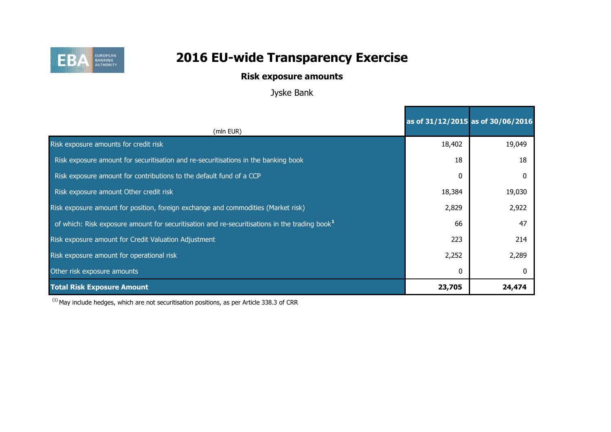

## **Risk exposure amounts**

Jyske Bank

|                                                                                                           | as of 31/12/2015 as of 30/06/2016 |        |
|-----------------------------------------------------------------------------------------------------------|-----------------------------------|--------|
| (mln EUR)                                                                                                 |                                   |        |
| Risk exposure amounts for credit risk                                                                     | 18,402                            | 19,049 |
| Risk exposure amount for securitisation and re-securitisations in the banking book                        | 18                                | 18     |
| Risk exposure amount for contributions to the default fund of a CCP                                       | 0                                 |        |
| Risk exposure amount Other credit risk                                                                    | 18,384                            | 19,030 |
| Risk exposure amount for position, foreign exchange and commodities (Market risk)                         | 2,829                             | 2,922  |
| of which: Risk exposure amount for securitisation and re-securitisations in the trading book <sup>1</sup> | 66                                | 47     |
| Risk exposure amount for Credit Valuation Adjustment                                                      | 223                               | 214    |
| Risk exposure amount for operational risk                                                                 | 2,252                             | 2,289  |
| Other risk exposure amounts                                                                               | 0                                 |        |
| <b>Total Risk Exposure Amount</b>                                                                         | 23,705                            | 24,474 |

 $(1)$  May include hedges, which are not securitisation positions, as per Article 338.3 of CRR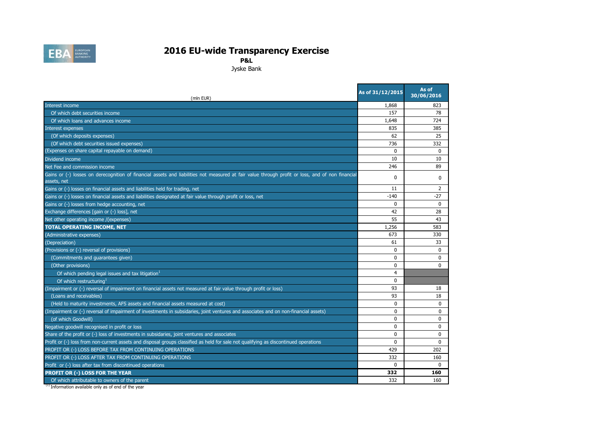

**P&L**

Jyske Bank

| (mln EUR)                                                                                                                                                       | As of 31/12/2015 | As of<br>30/06/2016 |
|-----------------------------------------------------------------------------------------------------------------------------------------------------------------|------------------|---------------------|
| Interest income                                                                                                                                                 | 1,868            | 823                 |
| Of which debt securities income                                                                                                                                 | 157              | 78                  |
| Of which loans and advances income                                                                                                                              | 1,648            | 724                 |
| Interest expenses                                                                                                                                               | 835              | 385                 |
| (Of which deposits expenses)                                                                                                                                    | 62               | 25                  |
| (Of which debt securities issued expenses)                                                                                                                      | 736              | 332                 |
| (Expenses on share capital repayable on demand)                                                                                                                 | $\Omega$         | $\mathbf{0}$        |
| Dividend income                                                                                                                                                 | 10               | 10                  |
| Net Fee and commission income                                                                                                                                   | 246              | 89                  |
| Gains or (-) losses on derecognition of financial assets and liabilities not measured at fair value through profit or loss, and of non financial<br>assets, net | $\mathbf{0}$     | $\mathbf{0}$        |
| Gains or (-) losses on financial assets and liabilities held for trading, net                                                                                   | 11               | 2                   |
| Gains or (-) losses on financial assets and liabilities designated at fair value through profit or loss, net                                                    | $-140$           | $-27$               |
| Gains or (-) losses from hedge accounting, net                                                                                                                  | $\mathbf{0}$     | $\mathbf{0}$        |
| Exchange differences [gain or (-) loss], net                                                                                                                    | 42               | 28                  |
| Net other operating income /(expenses)                                                                                                                          | 55               | 43                  |
| <b>TOTAL OPERATING INCOME, NET</b>                                                                                                                              | 1,256            | 583                 |
| (Administrative expenses)                                                                                                                                       | 673              | 330                 |
| (Depreciation)                                                                                                                                                  | 61               | 33                  |
| (Provisions or (-) reversal of provisions)                                                                                                                      | $\mathbf 0$      | 0                   |
| (Commitments and guarantees given)                                                                                                                              | $\Omega$         | $\Omega$            |
| (Other provisions)                                                                                                                                              | 0                | $\mathbf{0}$        |
| Of which pending legal issues and tax litigation <sup>1</sup>                                                                                                   | $\overline{4}$   |                     |
| Of which restructuring                                                                                                                                          | $\Omega$         |                     |
| (Impairment or (-) reversal of impairment on financial assets not measured at fair value through profit or loss)                                                | 93               | 18                  |
| (Loans and receivables)                                                                                                                                         | 93               | 18                  |
| (Held to maturity investments, AFS assets and financial assets measured at cost)                                                                                | $\Omega$         | $\mathbf 0$         |
| (Impairment or (-) reversal of impairment of investments in subsidaries, joint ventures and associates and on non-financial assets)                             | $\Omega$         | $\Omega$            |
| (of which Goodwill)                                                                                                                                             | 0                | $\mathbf{0}$        |
| Negative goodwill recognised in profit or loss                                                                                                                  | $\mathbf{0}$     | $\mathbf{0}$        |
| Share of the profit or (-) loss of investments in subsidaries, joint ventures and associates                                                                    | $\mathbf 0$      | $\mathbf 0$         |
| Profit or (-) loss from non-current assets and disposal groups classified as held for sale not qualifying as discontinued operations                            | $\Omega$         | $\mathbf{0}$        |
| PROFIT OR (-) LOSS BEFORE TAX FROM CONTINUING OPERATIONS                                                                                                        | 429              | 202                 |
| PROFIT OR (-) LOSS AFTER TAX FROM CONTINUING OPERATIONS                                                                                                         | 332              | 160                 |
| Profit or (-) loss after tax from discontinued operations                                                                                                       | $\Omega$         | $\Omega$            |
| PROFIT OR (-) LOSS FOR THE YEAR                                                                                                                                 | 332              | 160                 |
| Of which attributable to owners of the parent                                                                                                                   | 332              | 160                 |

<sup>(1)</sup> Information available only as of end of the year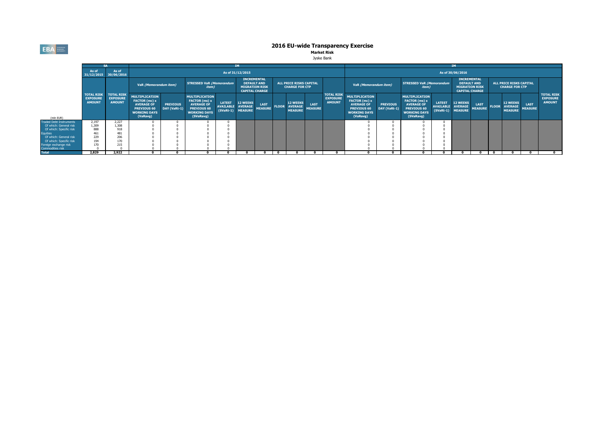**EBA** EUROPEAN

# **2016 EU-wide Transparency Exercise**<br>Market Risk

|                                           |                                  |                                                                    |                                                                                                                      | <b>IM</b>                       |                                                                                                                       |                                                        |                                   |                                                                                            |              |                                                     |                                                         | <b>IM</b>                                             |                                                                                                                      |                                 |                                                                                                                |                                          |                                      |                                                                                            |  |                                                    |                                                         |                                                       |  |
|-------------------------------------------|----------------------------------|--------------------------------------------------------------------|----------------------------------------------------------------------------------------------------------------------|---------------------------------|-----------------------------------------------------------------------------------------------------------------------|--------------------------------------------------------|-----------------------------------|--------------------------------------------------------------------------------------------|--------------|-----------------------------------------------------|---------------------------------------------------------|-------------------------------------------------------|----------------------------------------------------------------------------------------------------------------------|---------------------------------|----------------------------------------------------------------------------------------------------------------|------------------------------------------|--------------------------------------|--------------------------------------------------------------------------------------------|--|----------------------------------------------------|---------------------------------------------------------|-------------------------------------------------------|--|
|                                           | As of<br>31/12/2015 30/06/2016   | As of                                                              |                                                                                                                      |                                 |                                                                                                                       |                                                        | As of 31/12/2015                  |                                                                                            |              |                                                     |                                                         |                                                       |                                                                                                                      |                                 |                                                                                                                |                                          | As of 30/06/2016                     |                                                                                            |  |                                                    |                                                         |                                                       |  |
|                                           |                                  |                                                                    |                                                                                                                      | VaR (Memorandum item)           |                                                                                                                       | <b>STRESSED VaR (Memorandum</b><br><i>item</i> )       |                                   | <b>INCREMENTAL</b><br><b>DEFAULT AND</b><br><b>MIGRATION RISK</b><br><b>CAPITAL CHARGE</b> |              |                                                     | <b>ALL PRICE RISKS CAPITAL</b><br><b>CHARGE FOR CTP</b> |                                                       |                                                                                                                      | VaR (Memorandum item)           |                                                                                                                | <b>STRESSED VaR (Memorandum</b><br>item) |                                      | <b>INCREMENTAL</b><br><b>DEFAULT AND</b><br><b>MIGRATION RISK</b><br><b>CAPITAL CHARGE</b> |  |                                                    | <b>ALL PRICE RISKS CAPITAL</b><br><b>CHARGE FOR CTP</b> |                                                       |  |
| (mln EUR)                                 | <b>EXPOSURE</b><br><b>AMOUNT</b> | <b>TOTAL RISK   TOTAL RISK</b><br><b>EXPOSURE</b><br><b>AMOUNT</b> | <b>MULTIPLICATION</b><br>FACTOR (mc) x<br><b>AVERAGE OF</b><br><b>PREVIOUS 60</b><br><b>WORKING DAYS</b><br>(VaRavg) | <b>PREVIOUS</b><br>DAY (VaRt-1) | <b>MULTIPLICATION</b><br>FACTOR (ms) x<br><b>AVERAGE OF</b><br><b>PREVIOUS 60</b><br><b>WORKING DAYS</b><br>(SVaRavg) | <b>LATEST</b><br><b>AVAILABLE</b><br>(SVaRt-1) MEASURE | <b>12 WEEKS</b><br><b>AVERAGE</b> | <b>LAST</b><br><b>MEASURE</b>                                                              | <b>FLOOR</b> | <b>12 WEEKS</b><br><b>AVERAGE</b><br><b>MEASURE</b> | LAST<br><b>MEASURE</b>                                  | <b>TOTAL RISK</b><br><b>EXPOSURE</b><br><b>AMOUNT</b> | <b>MULTIPLICATION</b><br>FACTOR (mc) x<br><b>AVERAGE OF</b><br><b>PREVIOUS 60</b><br><b>WORKING DAYS</b><br>(VaRavg) | <b>PREVIOUS</b><br>DAY (VaRt-1) | <b>MULTIPLICATION</b><br>FACTOR (ms) x<br><b>AVERAGE OF</b><br>PREVIOUS 60<br><b>WORKING DAYS</b><br>(SVaRavg) | <b>LATEST</b><br>AVAILABLE AVERAGE       | <b>12 WEEKS</b><br>(SVaRt-1) MEASURE | <b>LAST</b><br><b>MEASURE</b>                                                              |  | 12 WEEKS<br><b>FLOOR AVERAGE</b><br><b>MEASURE</b> | <b>LAST</b><br><b>MEASURE</b>                           | <b>TOTAL RISK</b><br><b>EXPOSURE</b><br><b>AMOUNT</b> |  |
| <b>Traded Debt Instruments</b>            | 2,197                            | 2.227                                                              |                                                                                                                      |                                 |                                                                                                                       |                                                        |                                   |                                                                                            |              |                                                     |                                                         |                                                       |                                                                                                                      |                                 |                                                                                                                |                                          |                                      |                                                                                            |  |                                                    |                                                         |                                                       |  |
| Of which: General risk                    | 1.309                            | 1,308                                                              |                                                                                                                      |                                 |                                                                                                                       |                                                        |                                   |                                                                                            |              |                                                     |                                                         |                                                       |                                                                                                                      |                                 |                                                                                                                |                                          |                                      |                                                                                            |  |                                                    |                                                         |                                                       |  |
| Of which: Specific risk                   | 888                              | 918                                                                |                                                                                                                      |                                 |                                                                                                                       |                                                        |                                   |                                                                                            |              |                                                     |                                                         |                                                       |                                                                                                                      |                                 |                                                                                                                |                                          |                                      |                                                                                            |  |                                                    |                                                         |                                                       |  |
| <b>Equities</b>                           | 461                              | 481                                                                |                                                                                                                      |                                 |                                                                                                                       |                                                        |                                   |                                                                                            |              |                                                     |                                                         |                                                       |                                                                                                                      |                                 |                                                                                                                |                                          |                                      |                                                                                            |  |                                                    |                                                         |                                                       |  |
| Of which: General risk                    | 229                              | 206                                                                |                                                                                                                      |                                 |                                                                                                                       |                                                        |                                   |                                                                                            |              |                                                     |                                                         |                                                       |                                                                                                                      |                                 |                                                                                                                |                                          |                                      |                                                                                            |  |                                                    |                                                         |                                                       |  |
| Of which: Specific risk                   | 194                              | 170                                                                |                                                                                                                      |                                 |                                                                                                                       |                                                        |                                   |                                                                                            |              |                                                     |                                                         |                                                       |                                                                                                                      |                                 |                                                                                                                |                                          |                                      |                                                                                            |  |                                                    |                                                         |                                                       |  |
| Foreign exchange risk<br>Commodities risk |                                  | 215                                                                |                                                                                                                      |                                 |                                                                                                                       |                                                        |                                   |                                                                                            |              |                                                     |                                                         |                                                       |                                                                                                                      |                                 |                                                                                                                |                                          |                                      |                                                                                            |  |                                                    |                                                         |                                                       |  |
| <b>Total</b>                              | 2.829                            | 2.922                                                              |                                                                                                                      |                                 |                                                                                                                       |                                                        |                                   | $\mathbf{0}$                                                                               |              |                                                     |                                                         |                                                       |                                                                                                                      |                                 |                                                                                                                |                                          |                                      |                                                                                            |  |                                                    |                                                         |                                                       |  |
|                                           |                                  |                                                                    |                                                                                                                      |                                 |                                                                                                                       |                                                        |                                   |                                                                                            |              |                                                     |                                                         |                                                       |                                                                                                                      |                                 |                                                                                                                |                                          |                                      |                                                                                            |  |                                                    |                                                         |                                                       |  |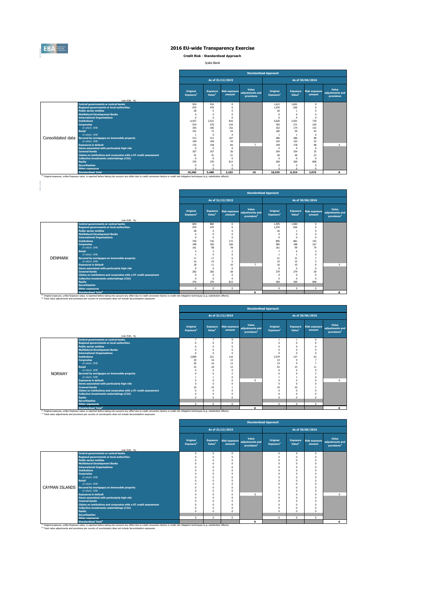

**Credit Risk - Standardised Approach**

Jyske Bank

|                   |                                                                   | <b>Standardised Approach</b>      |                                       |                                |                                        |                                   |                                       |                                |                                        |  |  |
|-------------------|-------------------------------------------------------------------|-----------------------------------|---------------------------------------|--------------------------------|----------------------------------------|-----------------------------------|---------------------------------------|--------------------------------|----------------------------------------|--|--|
|                   |                                                                   |                                   |                                       | As of 31/12/2015               |                                        | As of 30/06/2016                  |                                       |                                |                                        |  |  |
|                   | (mln EUR, %)                                                      | Original<br>Exposure <sup>1</sup> | <b>Exposure</b><br>Value <sup>1</sup> | <b>Risk exposure</b><br>amount | Value<br>adiustments and<br>provisions | Original<br>Exposure <sup>1</sup> | <b>Exposure</b><br>Value <sup>1</sup> | <b>Risk exposure</b><br>amount | Value<br>adjustments and<br>provisions |  |  |
|                   | <b>Central governments or central banks</b>                       | 924                               | 916                                   | $^{\circ}$                     |                                        | 1.612                             | 1.601                                 | $\mathbf{0}$                   |                                        |  |  |
|                   | <b>Regional governments or local authorities</b>                  | 970                               | 470                                   | $\Omega$                       |                                        | 1.070                             | 650                                   | $\Omega$                       |                                        |  |  |
|                   | <b>Public sector entities</b>                                     | 28                                |                                       | $\theta$                       |                                        | 26                                |                                       | $\Omega$                       |                                        |  |  |
|                   | <b>Multilateral Development Banks</b>                             | $\Omega$                          |                                       | n                              |                                        | 6                                 | 6                                     | $\Omega$                       |                                        |  |  |
|                   | <b>International Organisations</b>                                | $\Omega$                          | n                                     | $\Omega$                       |                                        | $\Omega$                          | $\theta$                              | $\Omega$                       |                                        |  |  |
|                   | <b>Institutions</b>                                               | 6.457                             | 2.521                                 | 816                            |                                        | 5.620                             | 2.501                                 | 730                            |                                        |  |  |
|                   | <b>Corporates</b>                                                 | 534                               | 270                                   | 234                            |                                        | 765                               | 271                                   | 239                            |                                        |  |  |
|                   | of which: SMF                                                     | 345                               | 185                                   | 152                            |                                        | 332                               | 174                                   | 142                            |                                        |  |  |
|                   | <b>Retail</b>                                                     | 191                               | $\overline{\mathcal{D}}$              | 54                             |                                        | 185                               | 59                                    | 44                             |                                        |  |  |
|                   | of which: SMF                                                     |                                   | $\Omega$                              | $\Omega$                       |                                        |                                   |                                       | $\Omega$                       |                                        |  |  |
| Consolidated data | Secured by mortgages on immovable property                        | 313                               | 313                                   | 107                            |                                        | 286                               | 286                                   | 98                             |                                        |  |  |
|                   | of which: SMF                                                     | 109                               | 109                                   | 34                             |                                        | 103                               | 103                                   | 32                             |                                        |  |  |
|                   | <b>Exposures in default</b>                                       | 176                               | 158                                   | 84                             | $\overline{ }$                         | 199                               | 178                                   | 98                             | 6                                      |  |  |
|                   | Items associated with particularly high risk                      | $\Omega$                          | $\Omega$                              | $\theta$                       |                                        | $\Omega$                          | n                                     | $\Omega$                       |                                        |  |  |
|                   | <b>Covered bonds</b>                                              | 357                               | 357                                   | 36                             |                                        | 354                               | 354                                   | 35                             |                                        |  |  |
|                   | Claims on institutions and corporates with a ST credit assessment | 41                                | 41                                    | 21                             |                                        | 46                                | 46                                    | 23                             |                                        |  |  |
|                   | <b>Collective investments undertakings (CIU)</b>                  | $\sqrt{2}$                        |                                       | $\Omega$                       |                                        | $\Omega$                          | n                                     | $\Omega$                       |                                        |  |  |
|                   | <b>Equity</b>                                                     | 370                               | 370                                   | 813                            |                                        | 369                               | 369                                   | 808                            |                                        |  |  |
|                   | <b>Securitisation</b>                                             | $\Omega$                          |                                       | $\Omega$                       |                                        | $\Omega$                          | O                                     | $\Omega$                       |                                        |  |  |
|                   | Other exposures                                                   |                                   |                                       | $\Omega$                       |                                        |                                   |                                       | $\Omega$                       |                                        |  |  |
|                   | <b>Standardised Total</b>                                         | 10,360                            | 5,488                                 | 2.163                          | 10                                     | 10,539                            | 6.324                                 | 2.076                          | 8                                      |  |  |

|                |                                                                   |                                   |                                       |                                | <b>Standardised Approach</b>                        |                                   |                                       |                                |                                                     |  |
|----------------|-------------------------------------------------------------------|-----------------------------------|---------------------------------------|--------------------------------|-----------------------------------------------------|-----------------------------------|---------------------------------------|--------------------------------|-----------------------------------------------------|--|
|                |                                                                   |                                   |                                       | As of 31/12/2015               |                                                     | As of 30/06/2016                  |                                       |                                |                                                     |  |
|                |                                                                   | Original<br>Exposure <sup>1</sup> | <b>Exposure</b><br>Value <sup>1</sup> | <b>Risk exposure</b><br>amount | Value<br>adjustments and<br>provisions <sup>2</sup> | Original<br>Exposure <sup>1</sup> | <b>Exposure</b><br>Value <sup>1</sup> | <b>Risk exposure</b><br>amount | Value<br>adjustments and<br>provisions <sup>2</sup> |  |
|                | (mln EUR, %)<br><b>Central governments or central banks</b>       | 894                               | 885                                   | $\overline{0}$                 |                                                     | 1.595                             | 1.584                                 | $\Omega$                       |                                                     |  |
|                | <b>Regional governments or local authorities</b>                  | 970                               | 470                                   | $^{\circ}$                     |                                                     | 1.070                             | 650                                   | $\Omega$                       |                                                     |  |
|                | <b>Public sector entities</b>                                     | 28                                | $\Omega$                              | $\Omega$                       |                                                     | 26                                |                                       | $\Omega$                       |                                                     |  |
|                | <b>Multilateral Development Banks</b>                             | $\Omega$                          | $\Omega$                              | $\Omega$                       |                                                     | $\Omega$                          | $\Omega$                              | $\Omega$                       |                                                     |  |
|                | <b>International Organisations</b>                                | $\Omega$                          | $\Omega$                              | $\Omega$                       |                                                     | $\Omega$                          | $\Omega$                              | $\Omega$                       |                                                     |  |
|                | <b>Institutions</b>                                               | 750                               | 742                                   | 172                            |                                                     | 895                               | 881                                   | 193                            |                                                     |  |
|                | <b>Corporates</b>                                                 | 348                               | 182                                   | 160                            |                                                     | 585                               | 188                                   | 167                            |                                                     |  |
|                | of which: SMF                                                     | 161                               | 98                                    | 78                             |                                                     | 161                               | 99                                    | 79                             |                                                     |  |
|                | Retail                                                            |                                   | 3                                     | $\overline{z}$                 |                                                     |                                   | 6                                     |                                |                                                     |  |
|                | of which: SMF                                                     |                                   | $\Omega$                              | $\Omega$                       |                                                     |                                   |                                       | $\Omega$                       |                                                     |  |
| <b>DENMARK</b> | Secured by mortgages on immovable property                        | 17                                | 17                                    | 6                              |                                                     | 21                                | 21                                    | 7                              |                                                     |  |
|                | of which: SMF                                                     | 16                                | 15                                    | 5                              |                                                     | 15                                | 15                                    | 5                              |                                                     |  |
|                | <b>Exposures in default</b>                                       | 18                                | 11                                    | 10                             | $\overline{ }$                                      | 16                                | 10                                    | $\mathbf{Q}$                   | к                                                   |  |
|                | Items associated with particularly high risk                      | $\Omega$                          | $\Omega$                              | $\Omega$                       |                                                     | $\Omega$                          | $\Omega$                              | $\Omega$                       |                                                     |  |
|                | <b>Covered bonds</b>                                              | 282                               | 282                                   | 28                             |                                                     | 279                               | 279                                   | 28                             |                                                     |  |
|                | Claims on institutions and corporates with a ST credit assessment | $\Omega$                          | $\Omega$                              | $\Omega$                       |                                                     | $\Omega$                          | $\Omega$                              | $\Omega$                       |                                                     |  |
|                | <b>Collective investments undertakings (CIU)</b>                  | $\Omega$                          | $\Omega$                              | $\Omega$                       |                                                     | $\Omega$                          | $\Omega$                              | $\Omega$                       |                                                     |  |
|                | <b>Equity</b>                                                     | 370                               | 370                                   | 813                            |                                                     | 369                               | 369                                   | 808                            |                                                     |  |
|                | <b>Securitisation</b>                                             |                                   |                                       |                                |                                                     |                                   |                                       |                                |                                                     |  |
|                | <b>Other exposures</b>                                            | $\Omega$                          | $\Omega$                              | $\Omega$                       |                                                     | $\Omega$                          | $\Omega$                              | $\Omega$                       |                                                     |  |
|                | <b>Standardised Total<sup>2</sup></b>                             |                                   |                                       |                                | $\bullet$                                           |                                   |                                       |                                | 8                                                   |  |

|               |                                                                                                                                                                                                                                                        |                                   |                                       |                                | <b>Standardised Approach</b>                        |                                   |                                       |                                |                                                     |  |
|---------------|--------------------------------------------------------------------------------------------------------------------------------------------------------------------------------------------------------------------------------------------------------|-----------------------------------|---------------------------------------|--------------------------------|-----------------------------------------------------|-----------------------------------|---------------------------------------|--------------------------------|-----------------------------------------------------|--|
|               |                                                                                                                                                                                                                                                        |                                   |                                       | As of 31/12/2015               |                                                     | As of 30/06/2016                  |                                       |                                |                                                     |  |
|               |                                                                                                                                                                                                                                                        | Original<br>Exposure <sup>1</sup> | <b>Exposure</b><br>Value <sup>1</sup> | <b>Risk exposure</b><br>amount | Value<br>adjustments and<br>provisions <sup>2</sup> | Original<br>Exposure <sup>1</sup> | <b>Exposure</b><br>Value <sup>1</sup> | <b>Risk exposure</b><br>amount | Value<br>adjustments and<br>provisions <sup>2</sup> |  |
|               | (mln EUR. %)                                                                                                                                                                                                                                           |                                   |                                       |                                |                                                     |                                   |                                       |                                |                                                     |  |
|               | <b>Central governments or central banks</b>                                                                                                                                                                                                            | $\overline{7}$                    | $\overline{\phantom{a}}$              | $\mathbf{0}$                   |                                                     |                                   |                                       | $\Omega$                       |                                                     |  |
|               | <b>Regional governments or local authorities</b>                                                                                                                                                                                                       | $\Omega$                          | $\Omega$                              | $\Omega$                       |                                                     | $\Omega$                          | $\Omega$                              | $\Omega$                       |                                                     |  |
|               | <b>Public sector entities</b>                                                                                                                                                                                                                          | $\Omega$                          | O                                     | $\Omega$                       |                                                     |                                   | $\Omega$                              | $\Omega$                       |                                                     |  |
|               | <b>Multilateral Development Banks</b>                                                                                                                                                                                                                  | $\Omega$                          | $\Omega$                              | $\Omega$                       |                                                     | $\sqrt{2}$                        | $\Omega$                              | $\Omega$                       |                                                     |  |
|               | <b>International Organisations</b>                                                                                                                                                                                                                     | $\Omega$                          | $\Omega$                              | $\Omega$                       |                                                     | $\Omega$                          | $\Omega$                              | $\Omega$                       |                                                     |  |
|               | <b>Institutions</b>                                                                                                                                                                                                                                    | 3,899                             | 221                                   | 110                            |                                                     | 2.579                             | 127                                   | 63                             |                                                     |  |
|               | <b>Corporates</b>                                                                                                                                                                                                                                      | 30 <sub>2</sub>                   | 16                                    | 13                             |                                                     | 23                                | $\Omega$                              |                                |                                                     |  |
|               | of which: SME                                                                                                                                                                                                                                          | 30 <sub>2</sub>                   | 16                                    | 13                             |                                                     | 23                                | $\circ$                               |                                |                                                     |  |
|               | <b>Retail</b>                                                                                                                                                                                                                                          | 32                                | 18                                    | 13                             |                                                     | 52                                | 15                                    | 11                             |                                                     |  |
|               | of which: SMF                                                                                                                                                                                                                                          | $\Omega$                          | $\Omega$                              | $\Omega$                       |                                                     |                                   | $\Omega$                              | $\Omega$                       |                                                     |  |
| <b>NORWAY</b> | Secured by mortgages on immovable property                                                                                                                                                                                                             |                                   | 6                                     | $\sim$                         |                                                     |                                   |                                       |                                |                                                     |  |
|               | of which: SME                                                                                                                                                                                                                                          |                                   |                                       | $\Omega$                       |                                                     |                                   |                                       | $\Omega$                       |                                                     |  |
|               | <b>Exposures in default</b>                                                                                                                                                                                                                            | $\Omega$                          | n                                     | $\Omega$                       | $\sim$                                              | $\Omega$                          | $\Omega$                              | $\Omega$                       | $\Omega$                                            |  |
|               | Items associated with particularly high risk                                                                                                                                                                                                           | $\Omega$                          | $\Omega$                              |                                |                                                     | $\Omega$                          | $\Omega$                              | $\Omega$                       |                                                     |  |
|               | <b>Covered bonds</b>                                                                                                                                                                                                                                   | 10                                | 10                                    |                                |                                                     | 10                                | 10                                    |                                |                                                     |  |
|               | Claims on institutions and corporates with a ST credit assessment                                                                                                                                                                                      | $\Omega$                          | $\Omega$                              | $\Omega$                       |                                                     | $\sqrt{2}$                        | $\Omega$                              |                                |                                                     |  |
|               | Collective investments undertakings (CIU)                                                                                                                                                                                                              | $\Omega$                          | n                                     | $\Omega$                       |                                                     | $\Omega$                          | $\Omega$                              | $\Omega$                       |                                                     |  |
|               | <b>Equity</b>                                                                                                                                                                                                                                          | $\sqrt{2}$                        | $\Omega$                              | $\Omega$                       |                                                     | $\Omega$                          | $\Omega$                              | $\Omega$                       |                                                     |  |
|               | <b>Securitisation</b>                                                                                                                                                                                                                                  |                                   |                                       |                                |                                                     |                                   |                                       |                                |                                                     |  |
|               | <b>Other exposures</b>                                                                                                                                                                                                                                 | $\Omega$                          | $^{\circ}$                            | $\Omega$                       |                                                     | $\Omega$                          | $\Omega$                              | $\Omega$                       |                                                     |  |
|               | <b>Standardised Total<sup>2</sup></b><br><sup>(1)</sup> Original exposure, unlike Exposure value, is reported before taking into account any effect due to credit conversion factors or credit risk mitigation techniques (e.g. substitution effects). |                                   |                                       |                                | $\Omega$                                            |                                   |                                       |                                | $\Omega$                                            |  |

|                                                                   |                                   |                                       |                                |                                                     | <b>Standardised Approach</b>      |                                |                                |                                                     |
|-------------------------------------------------------------------|-----------------------------------|---------------------------------------|--------------------------------|-----------------------------------------------------|-----------------------------------|--------------------------------|--------------------------------|-----------------------------------------------------|
|                                                                   |                                   |                                       | As of 31/12/2015               |                                                     |                                   |                                | As of 30/06/2016               |                                                     |
| (mln EUR, %)                                                      | Original<br>Exposure <sup>1</sup> | <b>Exposure</b><br>Value <sup>1</sup> | <b>Risk exposure</b><br>amount | Value<br>adjustments and<br>provisions <sup>2</sup> | Original<br>Exposure <sup>1</sup> | Exposure<br>Value <sup>1</sup> | <b>Risk exposure</b><br>amount | Value<br>adjustments and<br>provisions <sup>2</sup> |
| <b>Central governments or central banks</b>                       | $\Omega$                          | $^{\circ}$                            | 0                              |                                                     | $^{\circ}$                        | $\Omega$                       | $^{\circ}$                     |                                                     |
| <b>Regional governments or local authorities</b>                  | $\Omega$                          | 0                                     |                                |                                                     | $\Omega$                          |                                | $\Omega$                       |                                                     |
| <b>Public sector entities</b>                                     | $\Omega$                          | $^{\circ}$                            |                                |                                                     | $\Omega$                          | $\Omega$                       | $\Omega$                       |                                                     |
| <b>Multilateral Development Banks</b>                             | $\Omega$                          | $\Omega$                              |                                |                                                     |                                   | $\Omega$                       | $\Omega$                       |                                                     |
| <b>International Organisations</b>                                | $\Omega$                          | $\mathbf{0}$                          |                                |                                                     |                                   | $\Omega$                       |                                |                                                     |
| <b>Institutions</b>                                               | $\Omega$                          | 0                                     |                                |                                                     |                                   |                                |                                |                                                     |
| <b>Corporates</b>                                                 | $\Omega$                          | 0                                     |                                |                                                     |                                   | O                              |                                |                                                     |
| of which: SME                                                     | $\Omega$                          | 0                                     |                                |                                                     |                                   | O                              |                                |                                                     |
| <b>Retail</b>                                                     | $\Omega$                          | $\mathbf{0}$                          |                                |                                                     |                                   |                                |                                |                                                     |
| of which: SME                                                     | $\Omega$                          | n                                     |                                |                                                     |                                   |                                |                                |                                                     |
| CAYMAN ISLANDS Secured by mortgages on immovable property         | $\Omega$                          | n                                     |                                |                                                     |                                   |                                |                                |                                                     |
| of which: SME                                                     | $\Omega$                          | $\Omega$                              | n                              |                                                     |                                   | $\Omega$                       | $\Omega$                       |                                                     |
| <b>Exposures in default</b>                                       | $\Omega$                          | $^{\circ}$                            |                                | $\Omega$                                            |                                   | O                              | $\Omega$                       | $^{\circ}$                                          |
| Items associated with particularly high risk                      | $\Omega$                          | $\Omega$                              |                                |                                                     | $\Omega$                          | $\Omega$                       | $\Omega$                       |                                                     |
| <b>Covered bonds</b>                                              | $\Omega$                          | $^{\circ}$                            |                                |                                                     |                                   | O                              |                                |                                                     |
| Claims on institutions and corporates with a ST credit assessment | $\Omega$                          | $^{\circ}$                            |                                |                                                     | $\Omega$                          | $\Omega$                       | $\Omega$                       |                                                     |
| Collective investments undertakings (CIU)                         | $\Omega$                          | $^{\circ}$                            |                                |                                                     | $\Omega$                          | O                              |                                |                                                     |
| <b>Equity</b>                                                     | $\Omega$                          | $\Omega$                              |                                |                                                     | $\Omega$                          | $\Omega$                       | $\Omega$                       |                                                     |
| <b>Securitisation</b>                                             |                                   |                                       |                                |                                                     |                                   |                                |                                |                                                     |
| <b>Other exposures</b>                                            | $\Omega$                          | $\Omega$                              | $\Omega$                       |                                                     | $\Omega$                          | $\Omega$                       | $\Omega$                       |                                                     |
| <b>Standardised Total<sup>2</sup></b>                             |                                   |                                       |                                | $\Omega$                                            |                                   |                                |                                | $\Omega$                                            |

<sup>(1)</sup> Original exposure, unlike Exposure value, is reported before taking into account any effect due to credit conversion factors or credit risk mitigation techniques (e.g. substitution effects).<br><sup>(2)</sup> Total value adjustm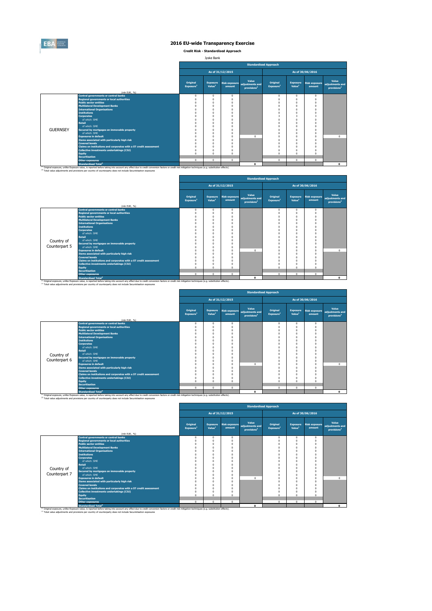

**Credit Risk - Standardised Approach**

| ke Bank<br>$\sim$ |
|-------------------|
|-------------------|

|                 |                                                                                                                                                                                                                                                                                                                         |                                   |                                       |                        |                                                                   | <b>Standardised Approach</b>      |                                       |                                |                                                     |
|-----------------|-------------------------------------------------------------------------------------------------------------------------------------------------------------------------------------------------------------------------------------------------------------------------------------------------------------------------|-----------------------------------|---------------------------------------|------------------------|-------------------------------------------------------------------|-----------------------------------|---------------------------------------|--------------------------------|-----------------------------------------------------|
|                 |                                                                                                                                                                                                                                                                                                                         |                                   |                                       | As of 31/12/2015       |                                                                   |                                   |                                       | As of 30/06/2016               |                                                     |
|                 |                                                                                                                                                                                                                                                                                                                         | Original<br>Exposure <sup>1</sup> | <b>Exposure</b><br>Value <sup>1</sup> | amount                 | Value<br>Risk exposure adjustments and<br>provisions <sup>2</sup> | Original<br>Exposure <sup>1</sup> | <b>Exposure</b><br>Value <sup>1</sup> | <b>Risk exposure</b><br>amount | Value<br>adjustments and<br>provisions <sup>2</sup> |
|                 | (mln EUR. %)<br><b>Central governments or central banks</b>                                                                                                                                                                                                                                                             | $\Omega$                          | $\Omega$                              |                        |                                                                   |                                   | $\Omega$                              | $\Omega$                       |                                                     |
|                 | <b>Regional governments or local authorities</b>                                                                                                                                                                                                                                                                        | $\Omega$                          | $\Omega$                              | $^{\circ}$<br>$\Omega$ |                                                                   | $^{\circ}$<br>$\Omega$            | n                                     | $\Omega$                       |                                                     |
|                 | <b>Public sector entities</b>                                                                                                                                                                                                                                                                                           |                                   | $\Omega$                              | $\Omega$               |                                                                   | $\theta$                          | n                                     | $\Omega$                       |                                                     |
|                 | <b>Multilateral Development Banks</b>                                                                                                                                                                                                                                                                                   | $\Omega$                          | $\Omega$                              | $\Omega$               |                                                                   | $\theta$                          |                                       | $\Omega$                       |                                                     |
|                 | <b>International Organisations</b>                                                                                                                                                                                                                                                                                      |                                   |                                       | n                      |                                                                   | $\theta$                          |                                       | $\Omega$                       |                                                     |
|                 | <b>Institutions</b>                                                                                                                                                                                                                                                                                                     |                                   |                                       |                        |                                                                   | $\Omega$                          |                                       | $\Omega$                       |                                                     |
|                 | <b>Corporates</b>                                                                                                                                                                                                                                                                                                       |                                   |                                       | $\Omega$               |                                                                   | 3                                 | з                                     | 3                              |                                                     |
|                 | of which: SMF                                                                                                                                                                                                                                                                                                           |                                   |                                       | n                      |                                                                   | $\Omega$                          |                                       | $\Omega$                       |                                                     |
|                 | <b>Retail</b>                                                                                                                                                                                                                                                                                                           |                                   |                                       | O                      |                                                                   | $\Omega$                          |                                       | $\Omega$                       |                                                     |
|                 | of which: SMF                                                                                                                                                                                                                                                                                                           |                                   |                                       | $\Omega$               |                                                                   | $\Omega$                          |                                       | $\Omega$                       |                                                     |
| <b>GUERNSEY</b> | Secured by mortgages on immovable property                                                                                                                                                                                                                                                                              |                                   |                                       | n                      |                                                                   | $\theta$                          |                                       | $\Omega$                       |                                                     |
|                 | of which: SMF                                                                                                                                                                                                                                                                                                           |                                   |                                       | $\Omega$               |                                                                   | $\Omega$                          |                                       | $\Omega$                       |                                                     |
|                 | <b>Exposures in default</b>                                                                                                                                                                                                                                                                                             |                                   |                                       | $\Omega$               | $\Omega$                                                          | $\Omega$                          | n                                     | $\Omega$                       | $\Omega$                                            |
|                 | Items associated with particularly high risk                                                                                                                                                                                                                                                                            |                                   | $\Omega$                              | $\Omega$               |                                                                   | $\Omega$                          | n                                     | $\Omega$                       |                                                     |
|                 | <b>Covered bonds</b>                                                                                                                                                                                                                                                                                                    |                                   | $\Omega$                              | $\Omega$               |                                                                   | $\Omega$                          | n                                     | $\Omega$                       |                                                     |
|                 | Claims on institutions and corporates with a ST credit assessment                                                                                                                                                                                                                                                       |                                   | $\Omega$                              | n                      |                                                                   | $\theta$                          | $\theta$                              | $\Omega$                       |                                                     |
|                 | Collective investments undertakings (CIU)                                                                                                                                                                                                                                                                               | $\Omega$                          |                                       | $\Omega$               |                                                                   | $\Omega$                          | n                                     | $\Omega$                       |                                                     |
|                 | <b>Equity</b>                                                                                                                                                                                                                                                                                                           | $\Omega$                          | $\Omega$                              | O                      |                                                                   | $\Omega$                          | $\theta$                              | $\Omega$                       |                                                     |
|                 | <b>Securitisation</b>                                                                                                                                                                                                                                                                                                   |                                   |                                       |                        |                                                                   |                                   |                                       |                                |                                                     |
|                 | <b>Other exposures</b>                                                                                                                                                                                                                                                                                                  | $\mathbf 0$                       | $\Omega$                              | $\Omega$               |                                                                   | $\mathbf 0$                       | $\mathbf{0}$                          | $\mathbf{0}$                   |                                                     |
|                 | <b>Standardised Total<sup>2</sup></b>                                                                                                                                                                                                                                                                                   |                                   |                                       |                        | $\Omega$                                                          |                                   |                                       |                                | $\Omega$                                            |
|                 | (1) Original exposure, unlike Exposure value, is reported before taking into account any effect due to credit conversion factors or credit risk mitigation techniques (e.g. substitution effects).<br>(2) Total value adjustments and provisions per country of counterparty does not include Securistisation exposures |                                   |                                       |                        |                                                                   |                                   |                                       |                                |                                                     |

|               |                                                                   |                                   |                                       |                                |                                                     | <b>Standardised Approach</b>      |                                       |                                |                                                     |
|---------------|-------------------------------------------------------------------|-----------------------------------|---------------------------------------|--------------------------------|-----------------------------------------------------|-----------------------------------|---------------------------------------|--------------------------------|-----------------------------------------------------|
|               |                                                                   |                                   |                                       | As of 31/12/2015               |                                                     |                                   |                                       | As of 30/06/2016               |                                                     |
|               |                                                                   | Original<br>Exposure <sup>1</sup> | <b>Exposure</b><br>Value <sup>1</sup> | <b>Risk exposure</b><br>amount | Value<br>adjustments and<br>provisions <sup>2</sup> | Original<br>Exposure <sup>1</sup> | <b>Exposure</b><br>Value <sup>1</sup> | <b>Risk exposure</b><br>amount | Value<br>adjustments and<br>provisions <sup>2</sup> |
|               | (mln EUR, %)<br><b>Central governments or central banks</b>       | $^{\circ}$                        | $\mathbf{0}$                          | $\Omega$                       |                                                     | $^{\circ}$                        | $\Omega$                              | $\circ$                        |                                                     |
|               | <b>Regional governments or local authorities</b>                  | $\Omega$                          | $^{\circ}$                            | C                              |                                                     |                                   |                                       | $\Omega$                       |                                                     |
|               | <b>Public sector entities</b>                                     | $\Omega$                          | $\mathbf{0}$                          | O                              |                                                     |                                   |                                       | $\Omega$                       |                                                     |
|               | <b>Multilateral Development Banks</b>                             | $\mathbf 0$                       | $\bf{0}$                              |                                |                                                     |                                   |                                       | $\Omega$                       |                                                     |
|               | <b>International Organisations</b>                                | $\Omega$                          | $\Omega$                              | n                              |                                                     |                                   | $\Omega$                              | $\Omega$                       |                                                     |
|               | <b>Institutions</b>                                               | $\Omega$                          | $\Omega$                              |                                |                                                     |                                   |                                       |                                |                                                     |
|               | <b>Corporates</b>                                                 | $\Omega$                          | $\mathbf{0}$                          | n                              |                                                     |                                   | $\Omega$                              | $\Omega$                       |                                                     |
|               | of which: SME                                                     | $\Omega$                          | $\mathbf{0}$                          |                                |                                                     |                                   | $\Omega$                              | $\Omega$                       |                                                     |
|               | <b>Retail</b>                                                     | $\Omega$                          | $\Omega$                              |                                |                                                     |                                   | $\Omega$                              |                                |                                                     |
| Country of    | of which: SMF                                                     | $\Omega$                          | $\Omega$                              |                                |                                                     |                                   |                                       |                                |                                                     |
| Counterpart 5 | Secured by mortgages on immovable property                        | $\Omega$                          | $\Omega$                              |                                |                                                     |                                   |                                       | $\Omega$                       |                                                     |
|               | of which: SMF                                                     | $\Omega$                          | $\mathbf{0}$                          | n                              |                                                     |                                   |                                       | $\Omega$                       |                                                     |
|               | <b>Exposures in default</b>                                       | $\Omega$                          | $\bf{0}$                              | n                              | $\Omega$                                            |                                   | $\Omega$                              | $\theta$                       | $\circ$                                             |
|               | <b>Items associated with particularly high risk</b>               | $\Omega$                          | $\mathbf{0}$                          | O                              |                                                     |                                   | $\Omega$                              | $\Omega$                       |                                                     |
|               | <b>Covered bonds</b>                                              | $\Omega$                          | $\Omega$                              |                                |                                                     |                                   |                                       |                                |                                                     |
|               | Claims on institutions and corporates with a ST credit assessment | $\Omega$                          | $\Omega$                              |                                |                                                     |                                   | $\Omega$                              | $\Omega$                       |                                                     |
|               | Collective investments undertakings (CIU)<br>Equity               | $\Omega$<br>$\Omega$              | $\mathbf{0}$<br>$\Omega$              | O                              |                                                     | n                                 | $\Omega$                              | $\theta$                       |                                                     |
|               | <b>Securitisation</b>                                             |                                   |                                       |                                |                                                     |                                   |                                       |                                |                                                     |
|               | <b>Other exposures</b>                                            | $\mathbf 0$                       | $\mathbf{0}$                          | $\Omega$                       |                                                     | $\Omega$                          | $\Omega$                              | $\Omega$                       |                                                     |
|               | <b>Standardised Total<sup>2</sup></b>                             |                                   |                                       |                                | $\mathbf{0}$                                        |                                   |                                       |                                | $\mathbf{o}$                                        |

<sup>10</sup> Original exposure, unlike Exposure Total of Total Total Total Count any effect due to credit conversion factors or credit risk mitigation techniques (e.g. substitution effects).<br><sup>21</sup> Total value adjustments and provis

|               |                                                                   |                                   |                                       |                                | <b>Standardised Approach</b>                        |                                   |                                       |                                |                                                     |
|---------------|-------------------------------------------------------------------|-----------------------------------|---------------------------------------|--------------------------------|-----------------------------------------------------|-----------------------------------|---------------------------------------|--------------------------------|-----------------------------------------------------|
|               |                                                                   |                                   |                                       | As of 31/12/2015               |                                                     |                                   |                                       | As of 30/06/2016               |                                                     |
|               |                                                                   | Original<br>Exposure <sup>1</sup> | <b>Exposure</b><br>Value <sup>1</sup> | <b>Risk exposure</b><br>amount | Value<br>adjustments and<br>provisions <sup>2</sup> | Original<br>Exposure <sup>1</sup> | <b>Exposure</b><br>Value <sup>1</sup> | <b>Risk exposure</b><br>amount | Value<br>adjustments and<br>provisions <sup>2</sup> |
|               | (mln EUR. %)                                                      |                                   |                                       |                                |                                                     |                                   |                                       |                                |                                                     |
|               | <b>Central governments or central banks</b>                       | $\Omega$                          | $\Omega$                              | $\mathbf{0}$                   |                                                     | $\Omega$                          | $\Omega$                              | $\mathbf{0}$                   |                                                     |
|               | <b>Regional governments or local authorities</b>                  |                                   | $\Omega$                              | O                              |                                                     |                                   | $\Omega$                              | $\sqrt{2}$                     |                                                     |
|               | <b>Public sector entities</b>                                     |                                   |                                       |                                |                                                     |                                   | $\Omega$                              | $\sqrt{2}$                     |                                                     |
|               | <b>Multilateral Development Banks</b>                             |                                   | $\Omega$                              |                                |                                                     |                                   | $\Omega$                              |                                |                                                     |
|               | <b>International Organisations</b>                                |                                   | $\Omega$                              |                                |                                                     |                                   | $\Omega$                              |                                |                                                     |
|               | <b>Institutions</b>                                               |                                   |                                       |                                |                                                     |                                   | $\Omega$<br>$\Omega$                  |                                |                                                     |
|               | <b>Corporates</b><br>of which: SME                                |                                   |                                       |                                |                                                     |                                   |                                       |                                |                                                     |
|               | <b>Retail</b>                                                     |                                   |                                       |                                |                                                     |                                   | $\Omega$<br>$\Omega$                  |                                |                                                     |
|               | of which: SMF                                                     |                                   | $\Omega$                              |                                |                                                     |                                   | $\Omega$                              |                                |                                                     |
| Country of    | Secured by mortgages on immovable property                        |                                   | $\Omega$                              | $\Omega$                       |                                                     |                                   | $\Omega$                              | $\Omega$                       |                                                     |
| Counterpart 6 | of which: SMF                                                     |                                   |                                       | $\Omega$                       |                                                     |                                   | $\Omega$                              | O                              |                                                     |
|               | <b>Exposures in default</b>                                       |                                   | $\Omega$                              | $\theta$                       | $\Omega$                                            |                                   | $\Omega$                              | $\Omega$                       | 0                                                   |
|               | Items associated with particularly high risk                      |                                   |                                       |                                |                                                     |                                   | $\Omega$                              |                                |                                                     |
|               | <b>Covered bonds</b>                                              |                                   | $\Omega$                              |                                |                                                     |                                   | $\Omega$                              |                                |                                                     |
|               | Claims on institutions and corporates with a ST credit assessment |                                   |                                       |                                |                                                     |                                   | $\Omega$                              |                                |                                                     |
|               | <b>Collective investments undertakings (CIU)</b>                  |                                   |                                       | O                              |                                                     |                                   | $\Omega$                              | O                              |                                                     |
|               | Equity                                                            | n                                 | $\Omega$                              | $\Omega$                       |                                                     |                                   | $\Omega$                              | $\Omega$                       |                                                     |
|               | <b>Securitisation</b>                                             |                                   |                                       |                                |                                                     |                                   |                                       |                                |                                                     |
|               | <b>Other exposures</b>                                            | $\Omega$                          | $\Omega$                              | $\mathbf{0}$                   |                                                     | $\Omega$                          | $\Omega$                              | $\mathbf{0}$                   |                                                     |
|               | <b>Standardised Total<sup>2</sup></b>                             |                                   |                                       |                                | $\Omega$                                            |                                   |                                       |                                | $\bullet$                                           |

|               |                                                                                                                                                                                                                                             |                                   |                                       |                                | <b>Standardised Approach</b>                        |                                   |                                       |                                |                                                     |
|---------------|---------------------------------------------------------------------------------------------------------------------------------------------------------------------------------------------------------------------------------------------|-----------------------------------|---------------------------------------|--------------------------------|-----------------------------------------------------|-----------------------------------|---------------------------------------|--------------------------------|-----------------------------------------------------|
|               |                                                                                                                                                                                                                                             |                                   |                                       | As of 31/12/2015               |                                                     |                                   |                                       | As of 30/06/2016               |                                                     |
|               | (mln EUR, %)                                                                                                                                                                                                                                | Original<br>Exposure <sup>1</sup> | <b>Exposure</b><br>Value <sup>1</sup> | <b>Risk exposure</b><br>amount | Value<br>adiustments and<br>provisions <sup>2</sup> | Original<br>Exposure <sup>1</sup> | <b>Exposure</b><br>Value <sup>1</sup> | <b>Risk exposure</b><br>amount | Value<br>adjustments and<br>provisions <sup>2</sup> |
|               | <b>Central governments or central banks</b>                                                                                                                                                                                                 | $\Omega$                          | $\mathbf 0$                           | $\mathbf 0$                    |                                                     | $\mathbf{0}$                      | $\Omega$                              | $\Omega$                       |                                                     |
|               | <b>Regional governments or local authorities</b>                                                                                                                                                                                            |                                   | $\Omega$                              |                                |                                                     |                                   |                                       | $\Omega$                       |                                                     |
|               | <b>Public sector entities</b>                                                                                                                                                                                                               |                                   | $\Omega$                              |                                |                                                     |                                   |                                       | $\Omega$                       |                                                     |
|               | <b>Multilateral Development Banks</b>                                                                                                                                                                                                       |                                   | $\Omega$                              |                                |                                                     |                                   |                                       | $\Omega$                       |                                                     |
|               | <b>International Organisations</b>                                                                                                                                                                                                          |                                   | $\Omega$                              |                                |                                                     |                                   |                                       |                                |                                                     |
|               | <b>Institutions</b>                                                                                                                                                                                                                         |                                   | $\Omega$                              |                                |                                                     |                                   |                                       |                                |                                                     |
|               | <b>Corporates</b>                                                                                                                                                                                                                           |                                   | $\Omega$                              |                                |                                                     |                                   |                                       |                                |                                                     |
|               | of which: SME                                                                                                                                                                                                                               |                                   | $\Omega$                              |                                |                                                     |                                   |                                       |                                |                                                     |
|               | <b>Retail</b>                                                                                                                                                                                                                               |                                   | $\Omega$                              |                                |                                                     |                                   |                                       |                                |                                                     |
| Country of    | of which: SMF                                                                                                                                                                                                                               |                                   | $\Omega$                              |                                |                                                     |                                   |                                       |                                |                                                     |
|               | Secured by mortgages on immovable property                                                                                                                                                                                                  |                                   | $\Omega$                              |                                |                                                     |                                   |                                       |                                |                                                     |
| Counterpart 7 | of which: SMF                                                                                                                                                                                                                               |                                   | $\Omega$                              |                                |                                                     |                                   |                                       | $\Omega$                       |                                                     |
|               | <b>Exposures in default</b>                                                                                                                                                                                                                 |                                   | $\Omega$                              | $\Omega$                       | $\Omega$                                            |                                   |                                       | $\Omega$                       | $\Omega$                                            |
|               | Items associated with particularly high risk                                                                                                                                                                                                |                                   | $\Omega$                              |                                |                                                     |                                   |                                       |                                |                                                     |
|               | <b>Covered bonds</b>                                                                                                                                                                                                                        |                                   | $\Omega$                              |                                |                                                     |                                   |                                       |                                |                                                     |
|               | Claims on institutions and corporates with a ST credit assessment                                                                                                                                                                           |                                   | $\Omega$                              |                                |                                                     |                                   |                                       |                                |                                                     |
|               | <b>Collective investments undertakings (CIU)</b>                                                                                                                                                                                            |                                   | $\Omega$                              |                                |                                                     |                                   |                                       |                                |                                                     |
|               | <b>Equity</b>                                                                                                                                                                                                                               |                                   | $\Omega$                              | $\Omega$                       |                                                     |                                   |                                       | $\Omega$                       |                                                     |
|               | <b>Securitisation</b>                                                                                                                                                                                                                       |                                   |                                       |                                |                                                     |                                   |                                       |                                |                                                     |
|               | <b>Other exposures</b>                                                                                                                                                                                                                      | $\Omega$                          | $\Omega$                              | $\mathbf 0$                    |                                                     | $\mathbf{0}$                      | $\Omega$                              | $\mathbf 0$                    |                                                     |
|               | <b>Standardised Total<sup>2</sup></b><br>(1) Original exposure, unlike Exposure value, is reported before taking into account any effect due to credit conversion factors or credit risk mitigation techniques (e.g. substitution effects). |                                   |                                       |                                | $\Omega$                                            |                                   |                                       |                                | $\Omega$                                            |

ο.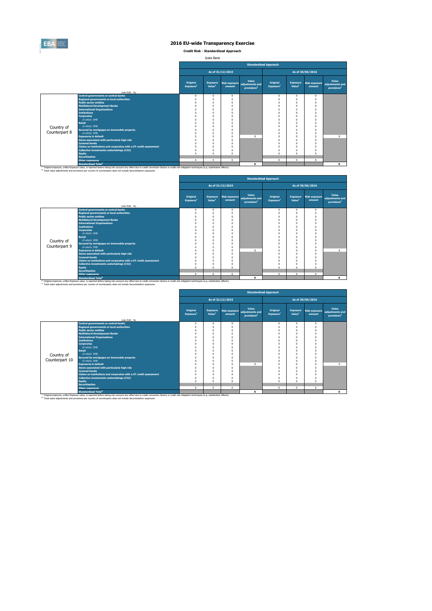

**Credit Risk - Standardised Approach**

Jyske Bank

|               |                                                                                                                                                                                                                                                                                                                         |                                   |                                       |                  | <b>Standardised Approach</b>                                      |                                   |                                       |                                |                                                     |
|---------------|-------------------------------------------------------------------------------------------------------------------------------------------------------------------------------------------------------------------------------------------------------------------------------------------------------------------------|-----------------------------------|---------------------------------------|------------------|-------------------------------------------------------------------|-----------------------------------|---------------------------------------|--------------------------------|-----------------------------------------------------|
|               |                                                                                                                                                                                                                                                                                                                         |                                   |                                       | As of 31/12/2015 |                                                                   |                                   |                                       | As of 30/06/2016               |                                                     |
|               |                                                                                                                                                                                                                                                                                                                         | Original<br>Exposure <sup>1</sup> | <b>Exposure</b><br>Value <sup>1</sup> | amount           | Value<br>Risk exposure adjustments and<br>provisions <sup>2</sup> | Original<br>Exposure <sup>1</sup> | <b>Exposure</b><br>Value <sup>1</sup> | <b>Risk exposure</b><br>amount | Value<br>adjustments and<br>provisions <sup>2</sup> |
|               | (mln EUR, %)                                                                                                                                                                                                                                                                                                            |                                   |                                       |                  |                                                                   |                                   |                                       |                                |                                                     |
|               | <b>Central governments or central banks</b>                                                                                                                                                                                                                                                                             | $\Omega$                          | $\Omega$                              | 0                |                                                                   | $^{\circ}$                        | $^{\circ}$                            | $\Omega$                       |                                                     |
|               | <b>Regional governments or local authorities</b><br><b>Public sector entities</b>                                                                                                                                                                                                                                       |                                   | $\Omega$                              | $\Omega$         |                                                                   | $\Omega$<br>$\Omega$              |                                       | $\Omega$<br>$\Omega$           |                                                     |
|               | <b>Multilateral Development Banks</b>                                                                                                                                                                                                                                                                                   |                                   | $\Omega$<br>n                         | O<br>n           |                                                                   | $\Omega$                          |                                       |                                |                                                     |
|               | <b>International Organisations</b>                                                                                                                                                                                                                                                                                      |                                   |                                       | O                |                                                                   | $\Omega$                          |                                       |                                |                                                     |
|               | <b>Institutions</b>                                                                                                                                                                                                                                                                                                     |                                   | $\Omega$                              | $\Omega$         |                                                                   | $\Omega$                          |                                       | $\Omega$                       |                                                     |
|               | <b>Corporates</b>                                                                                                                                                                                                                                                                                                       |                                   |                                       | n                |                                                                   | $\Omega$                          |                                       |                                |                                                     |
|               | of which: SMF                                                                                                                                                                                                                                                                                                           |                                   | $\Omega$                              | n                |                                                                   | $\Omega$                          |                                       | $\Omega$                       |                                                     |
|               | <b>Retail</b>                                                                                                                                                                                                                                                                                                           |                                   |                                       | O                |                                                                   | C                                 |                                       |                                |                                                     |
| Country of    | of which: SMF                                                                                                                                                                                                                                                                                                           |                                   |                                       | n                |                                                                   | C                                 |                                       | $\Omega$                       |                                                     |
|               | Secured by mortgages on immovable property                                                                                                                                                                                                                                                                              |                                   |                                       | n                |                                                                   | $\Omega$                          |                                       |                                |                                                     |
| Counterpart 8 | of which: SMF                                                                                                                                                                                                                                                                                                           |                                   |                                       | $\Omega$         |                                                                   | $\Omega$                          |                                       | $\Omega$                       |                                                     |
|               | <b>Exposures in default</b>                                                                                                                                                                                                                                                                                             |                                   | n                                     | $\Omega$         | $\Omega$                                                          | $\Omega$                          |                                       | $\Omega$                       | $\Omega$                                            |
|               | Items associated with particularly high risk                                                                                                                                                                                                                                                                            |                                   |                                       | n                |                                                                   | $\Omega$                          |                                       | $\Omega$                       |                                                     |
|               | <b>Covered bonds</b>                                                                                                                                                                                                                                                                                                    |                                   | n                                     | O                |                                                                   | $\Omega$                          |                                       | $\Omega$                       |                                                     |
|               | Claims on institutions and corporates with a ST credit assessment                                                                                                                                                                                                                                                       |                                   | n                                     | O                |                                                                   | $\Omega$                          |                                       | $\Omega$                       |                                                     |
|               | Collective investments undertakings (CIU)                                                                                                                                                                                                                                                                               |                                   | $\Omega$                              | n                |                                                                   | $\Omega$                          |                                       |                                |                                                     |
|               | <b>Equity</b>                                                                                                                                                                                                                                                                                                           |                                   | $\Omega$                              | n                |                                                                   | $\Omega$                          |                                       |                                |                                                     |
|               | <b>Securitisation</b>                                                                                                                                                                                                                                                                                                   |                                   |                                       |                  |                                                                   |                                   |                                       |                                |                                                     |
|               | <b>Other exposures</b>                                                                                                                                                                                                                                                                                                  | $\Omega$                          | $\Omega$                              | $\Omega$         |                                                                   | $^{\circ}$                        | $\Omega$                              | $\Omega$                       |                                                     |
|               | <b>Standardised Total<sup>2</sup></b>                                                                                                                                                                                                                                                                                   |                                   |                                       |                  | $\Omega$                                                          |                                   |                                       |                                | $\Omega$                                            |
|               | (1) Original exposure, unlike Exposure value, is reported before taking into account any effect due to credit conversion factors or credit risk mitigation techniques (e.g. substitution effects).<br>(2) Total value adjustments and provisions per country of counterparty does not include Securistisation exposures |                                   |                                       |                  |                                                                   |                                   |                                       |                                |                                                     |

|               |                                                                   |                                          |                                       |                                |                                                     | <b>Standardised Approach</b>      |                                       |                                |                                                     |
|---------------|-------------------------------------------------------------------|------------------------------------------|---------------------------------------|--------------------------------|-----------------------------------------------------|-----------------------------------|---------------------------------------|--------------------------------|-----------------------------------------------------|
|               |                                                                   |                                          |                                       | As of 31/12/2015               |                                                     |                                   |                                       | As of 30/06/2016               |                                                     |
|               |                                                                   | <b>Original</b><br>Exposure <sup>1</sup> | <b>Exposure</b><br>Value <sup>1</sup> | <b>Risk exposure</b><br>amount | Value<br>adjustments and<br>provisions <sup>2</sup> | Original<br>Exposure <sup>1</sup> | <b>Exposure</b><br>Value <sup>1</sup> | <b>Risk exposure</b><br>amount | Value<br>adjustments and<br>provisions <sup>2</sup> |
|               | (mln EUR, %)<br><b>Central governments or central banks</b>       | 0                                        | $^{\circ}$                            | $\Omega$                       |                                                     | $^{\circ}$                        | 0                                     | $\Omega$                       |                                                     |
|               | <b>Regional governments or local authorities</b>                  | 0                                        | $\Omega$                              |                                |                                                     | $\Omega$                          |                                       | $\Omega$                       |                                                     |
|               | <b>Public sector entities</b>                                     |                                          | $\Omega$                              |                                |                                                     | $\Omega$                          |                                       | $\Omega$                       |                                                     |
|               | <b>Multilateral Development Banks</b>                             |                                          | $\Omega$                              |                                |                                                     | $\Omega$                          |                                       |                                |                                                     |
|               | <b>International Organisations</b>                                |                                          | $\Omega$                              |                                |                                                     | $\Omega$                          |                                       |                                |                                                     |
|               | <b>Institutions</b>                                               |                                          | $\Omega$                              |                                |                                                     | O                                 |                                       |                                |                                                     |
|               | <b>Corporates</b>                                                 |                                          | $\Omega$                              |                                |                                                     | $\Omega$                          |                                       | $\Omega$                       |                                                     |
|               | of which: SMF                                                     |                                          | $\Omega$                              |                                |                                                     | $\Omega$                          |                                       |                                |                                                     |
|               | <b>Retail</b>                                                     |                                          | $\Omega$                              |                                |                                                     | O                                 | n                                     |                                |                                                     |
| Country of    | of which: SMF                                                     |                                          | $\Omega$                              |                                |                                                     | O                                 |                                       |                                |                                                     |
|               | Secured by mortgages on immovable property                        |                                          | $\Omega$                              |                                |                                                     | O                                 |                                       |                                |                                                     |
| Counterpart 9 | of which: SMF                                                     |                                          | $\Omega$                              |                                |                                                     | O                                 |                                       | $\Omega$                       |                                                     |
|               | <b>Exposures in default</b>                                       |                                          | $\Omega$                              |                                | $\Omega$                                            | $\Omega$                          |                                       | $\Omega$                       | $\circ$                                             |
|               | Items associated with particularly high risk                      |                                          | $\Omega$                              |                                |                                                     | $\Omega$                          |                                       |                                |                                                     |
|               | <b>Covered bonds</b>                                              |                                          | $\Omega$                              |                                |                                                     | 0                                 |                                       |                                |                                                     |
|               | Claims on institutions and corporates with a ST credit assessment | n                                        | $\Omega$                              |                                |                                                     | $\Omega$                          | n                                     | $\Omega$                       |                                                     |
|               | <b>Collective investments undertakings (CIU)</b>                  | 0                                        | $\bf{0}$                              |                                |                                                     | $\mathbf 0$                       |                                       |                                |                                                     |
|               | Equity                                                            | n                                        | $\Omega$                              |                                |                                                     | $\Omega$                          | n                                     | $\Omega$                       |                                                     |
|               | <b>Securitisation</b>                                             |                                          |                                       |                                |                                                     |                                   |                                       |                                |                                                     |
|               | <b>Other exposures</b>                                            | $\Omega$                                 | $\mathbf{0}$                          | $\Omega$                       |                                                     | $\mathbf{0}$                      | $\mathbf{0}$                          | $\Omega$                       |                                                     |
|               | <b>Standardised Total<sup>2</sup></b>                             |                                          |                                       |                                | 0                                                   |                                   |                                       |                                | $\mathbf{0}$                                        |

<sup>10</sup> Original exposure, unlike Exposure Total of Total Total Total Count any effect due to credit conversion factors or credit risk mitigation techniques (e.g. substitution effects).<br><sup>21</sup> Total value adjustments and provis

|                |                                                                                                                                                                                                               |                                   |                                       |                                | <b>Standardised Approach</b>                        |                                   |                                       |                                |                                                     |
|----------------|---------------------------------------------------------------------------------------------------------------------------------------------------------------------------------------------------------------|-----------------------------------|---------------------------------------|--------------------------------|-----------------------------------------------------|-----------------------------------|---------------------------------------|--------------------------------|-----------------------------------------------------|
|                |                                                                                                                                                                                                               |                                   |                                       | As of 31/12/2015               |                                                     |                                   |                                       | As of 30/06/2016               |                                                     |
|                | (mln EUR, %)                                                                                                                                                                                                  | Original<br>Exposure <sup>1</sup> | <b>Exposure</b><br>Value <sup>1</sup> | <b>Risk exposure</b><br>amount | Value<br>adjustments and<br>provisions <sup>2</sup> | Original<br>Exposure <sup>1</sup> | <b>Exposure</b><br>Value <sup>1</sup> | <b>Risk exposure</b><br>amount | Value<br>adjustments and<br>provisions <sup>2</sup> |
|                | <b>Central governments or central banks</b>                                                                                                                                                                   | $\mathbf 0$                       | $^{\circ}$                            | $\Omega$                       |                                                     | $\mathbf{0}$                      | $\mathbf 0$                           | $\Omega$                       |                                                     |
|                | <b>Regional governments or local authorities</b>                                                                                                                                                              | $\Omega$                          |                                       |                                |                                                     | $\Omega$                          | $\Omega$                              | $\theta$                       |                                                     |
|                | <b>Public sector entities</b>                                                                                                                                                                                 | O                                 | O                                     |                                |                                                     | $\Omega$                          | $\Omega$                              | £                              |                                                     |
|                | <b>Multilateral Development Banks</b>                                                                                                                                                                         | O                                 | n                                     |                                |                                                     | $\Omega$                          | $\Omega$                              | $\Omega$                       |                                                     |
|                | <b>International Organisations</b>                                                                                                                                                                            | O                                 | O                                     |                                |                                                     | $\Omega$                          | $\Omega$                              | £                              |                                                     |
|                | <b>Institutions</b>                                                                                                                                                                                           | ሰ                                 |                                       |                                |                                                     |                                   | $\Omega$                              |                                |                                                     |
|                | <b>Corporates</b>                                                                                                                                                                                             | n                                 | n                                     |                                |                                                     | $\Omega$                          | $\Omega$                              |                                |                                                     |
|                | of which: SME                                                                                                                                                                                                 |                                   |                                       |                                |                                                     |                                   | $\Omega$                              |                                |                                                     |
|                | Retail                                                                                                                                                                                                        | O                                 | O                                     |                                |                                                     | $\Omega$                          | $\Omega$                              | O                              |                                                     |
| Country of     | of which: SMF                                                                                                                                                                                                 | Ō                                 | O                                     |                                |                                                     | $\Omega$                          | $\Omega$                              | £                              |                                                     |
| Counterpart 10 | Secured by mortgages on immovable property<br>of which: SMF                                                                                                                                                   | $\Omega$                          |                                       |                                |                                                     |                                   | $\Omega$<br>$\Omega$                  |                                |                                                     |
|                | <b>Exposures in default</b>                                                                                                                                                                                   | O<br>O                            | O<br>O                                |                                | $\Omega$                                            | $\Omega$<br>$\Omega$              | $\Omega$                              | £<br>$\Omega$                  | $\Omega$                                            |
|                |                                                                                                                                                                                                               | ሰ                                 |                                       |                                |                                                     | $\Omega$                          | $\Omega$                              |                                |                                                     |
|                | Items associated with particularly high risk<br><b>Covered bonds</b>                                                                                                                                          | O                                 | O                                     |                                |                                                     | $\Omega$                          | $\Omega$                              | $\Omega$                       |                                                     |
|                | Claims on institutions and corporates with a ST credit assessment                                                                                                                                             | O                                 | O                                     |                                |                                                     | $\Omega$                          | $\Omega$                              | $\Omega$                       |                                                     |
|                | <b>Collective investments undertakings (CIU)</b>                                                                                                                                                              | $\Omega$                          | O                                     |                                |                                                     | $\Omega$                          | $\Omega$                              |                                |                                                     |
|                | <b>Equity</b>                                                                                                                                                                                                 | $\Omega$                          | $\theta$                              |                                |                                                     | $\Omega$                          | $\Omega$                              | $\Omega$                       |                                                     |
|                | <b>Securitisation</b>                                                                                                                                                                                         |                                   |                                       |                                |                                                     |                                   |                                       |                                |                                                     |
|                | <b>Other exposures</b>                                                                                                                                                                                        | $^{\circ}$                        | $\mathbf{0}$                          | $\Omega$                       |                                                     | $\mathbf{0}$                      | $\Omega$                              | $\Omega$                       |                                                     |
|                | <b>Standardised Total<sup>2</sup></b>                                                                                                                                                                         |                                   |                                       |                                | $\Omega$                                            |                                   |                                       |                                | $\Omega$                                            |
|                | <sup>(1)</sup> Original exposure, unlike Exposure value, is reported before taking into account any effect due to credit conversion factors or credit risk mitigation techniques (e.g. substitution effects). |                                   |                                       |                                |                                                     |                                   |                                       |                                |                                                     |
|                | (2) Total value adjustments and provisions per country of counterparty does not include Securistisation exposures                                                                                             |                                   |                                       |                                |                                                     |                                   |                                       |                                |                                                     |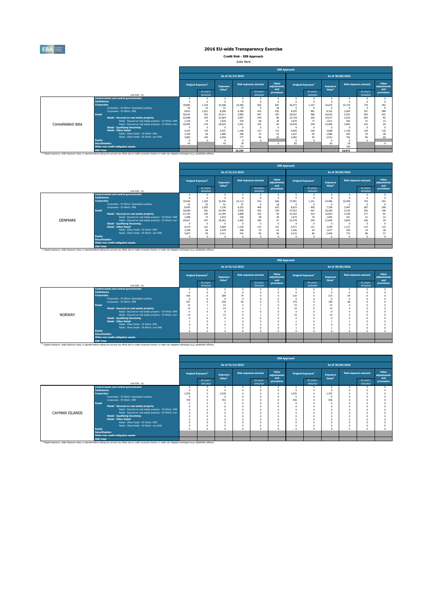

**Credit Risk - IRB Approach** Jyske Bank

|                   |                                                                                                                                                                                                    |                                                                                |                                       |                                       |                  |                             | <b>IRB Approach</b>         |            |                                |                                       |        |                             |                             |
|-------------------|----------------------------------------------------------------------------------------------------------------------------------------------------------------------------------------------------|--------------------------------------------------------------------------------|---------------------------------------|---------------------------------------|------------------|-----------------------------|-----------------------------|------------|--------------------------------|---------------------------------------|--------|-----------------------------|-----------------------------|
|                   |                                                                                                                                                                                                    |                                                                                |                                       |                                       | As of 31/12/2015 |                             |                             |            |                                | As of 30/06/2016                      |        |                             |                             |
|                   |                                                                                                                                                                                                    |                                                                                | <b>Original Exposure</b> <sup>1</sup> | <b>Exposure</b><br>Value <sup>1</sup> |                  | <b>Risk exposure amount</b> | Value<br>adiustments<br>and |            | Original Exposure <sup>1</sup> | <b>Exposure</b><br>Value <sup>1</sup> |        | <b>Risk exposure amount</b> | Value<br>adiustments<br>and |
|                   | (mln EUR. %)                                                                                                                                                                                       |                                                                                | Of which:<br>defaulted                |                                       |                  | Of which:<br>defaulted      | provisions                  |            | Of which:<br>defaulted         |                                       |        | Of which:<br>defaulted      | provisions                  |
|                   | <b>Central banks and central governments</b>                                                                                                                                                       |                                                                                |                                       |                                       |                  |                             | 0                           | $^{\circ}$ |                                |                                       |        |                             |                             |
|                   | <b>Tnstitutions</b>                                                                                                                                                                                | $\Omega$<br>n<br>10.770                                                        |                                       |                                       |                  |                             |                             |            |                                |                                       |        |                             |                             |
|                   | <b>Corporates</b><br>Corporates - Of Which: Specialised Lending                                                                                                                                    | 560<br>40.373<br>35,298<br>10.465<br>847<br>1.357<br>35.675<br>39.895<br>1.334 |                                       |                                       |                  |                             |                             |            |                                |                                       |        | 770                         | 782                         |
|                   | 52                                                                                                                                                                                                 | 22                                                                             | 51                                    | 37                                    | $\Omega$         | 18                          |                             |            |                                |                                       |        |                             |                             |
|                   | Corporates - Of Which: SME                                                                                                                                                                         | 9.815                                                                          | 1.021                                 | 8.296                                 | 4.380            | 416                         | 635                         | 9.555      | 981                            | 8.102                                 | 3.609  | 397                         | 586                         |
|                   | <b>Retail</b>                                                                                                                                                                                      | 26.441                                                                         | 523                                   | 25.211                                | 4.983            | 467                         | 201                         | 28,367     | 486                            | 26.625                                | 5.391  | 403                         | 201                         |
|                   | Retail - Secured on real estate property                                                                                                                                                           | 22,098                                                                         | 353                                   | 21.664                                | 3.837            | 340                         | 86                          | 23,718     | 326                            | 23.017                                | 4.235  | 283                         | 83                          |
|                   | Retail - Secured on real estate property - Of Which: SME                                                                                                                                           | 1.104                                                                          | 74                                    | 1.039                                 | 336              | 48                          | 26                          | 1.079      | 77                             | 1.011                                 | 342    | 51                          | 23                          |
| Consolidated data | Retail - Secured on real estate property - Of Which: non-                                                                                                                                          | 20,995                                                                         | 279                                   | 20,625                                | 3.501            | 292                         | 60                          | 22,639     | 249                            | 22,006                                | 3.892  | 232                         | 60                          |
|                   | <b>Retail - Qualifying Revolving</b>                                                                                                                                                               |                                                                                | $\Omega$                              |                                       |                  | $\Omega$                    | $\Omega$                    |            |                                |                                       |        |                             |                             |
|                   | <b>Retail - Other Retail</b>                                                                                                                                                                       | 4.343                                                                          | 170                                   | 3.547                                 | 1.146            | 127                         | 115                         | 4.649      | 160                            | 3.608                                 | 1.156  | 120                         | 118                         |
|                   | Retail - Other Retail - Of Which: SME                                                                                                                                                              | 1.259                                                                          | 66                                    | 1.089                                 | 369              | 33                          | 52                          | 1.267      | 65                             | 1.086                                 | 365    | 35                          | 58                          |
|                   | Retail - Other Retail - Of Which: non-SME                                                                                                                                                          | 3.083                                                                          | 103                                   | 2.459                                 | 777              | Q <sub>4</sub>              | 63                          | 3.382      | 95                             | 2.522                                 | 792    | 85                          | 60                          |
|                   | <b>Equity</b>                                                                                                                                                                                      |                                                                                |                                       |                                       |                  | $\Omega$                    |                             |            |                                |                                       |        |                             |                             |
|                   | <b>Securitisation</b>                                                                                                                                                                              | 43                                                                             |                                       | 43                                    | 18               |                             | $\Omega$                    | 83         |                                | 83                                    | 18     |                             |                             |
|                   | Other non credit-obligation assets                                                                                                                                                                 |                                                                                |                                       |                                       | 773              |                             |                             |            |                                |                                       | 794    |                             |                             |
|                   | <b>IRB Total</b>                                                                                                                                                                                   |                                                                                |                                       |                                       | 16,239           |                             |                             |            |                                |                                       | 16,973 |                             |                             |
|                   | (1) Original exposure, unlike Exposure value, is reported before taking into account any effect due to credit conversion factors or credit risk mitigation techniques (e.g. substitution effects). |                                                                                |                                       |                                       |                  |                             |                             |            |                                |                                       |        |                             |                             |

|                |                       |                                                                                                                                                                                                               |                                                                                          |                                       |                                       |                  |                             | <b>IRB Approach</b>         |          |                                |                                       |                  |                             |                             |
|----------------|-----------------------|---------------------------------------------------------------------------------------------------------------------------------------------------------------------------------------------------------------|------------------------------------------------------------------------------------------|---------------------------------------|---------------------------------------|------------------|-----------------------------|-----------------------------|----------|--------------------------------|---------------------------------------|------------------|-----------------------------|-----------------------------|
|                |                       |                                                                                                                                                                                                               |                                                                                          |                                       |                                       | As of 31/12/2015 |                             |                             |          |                                |                                       | As of 30/06/2016 |                             |                             |
|                |                       |                                                                                                                                                                                                               |                                                                                          | <b>Original Exposure</b> <sup>1</sup> | <b>Exposure</b><br>Value <sup>1</sup> |                  | <b>Risk exposure amount</b> | Value<br>adiustments<br>and |          | Original Exposure <sup>1</sup> | <b>Exposure</b><br>Value <sup>1</sup> |                  | <b>Risk exposure amount</b> | Value<br>adiustments<br>and |
|                |                       | (min EUR, %)                                                                                                                                                                                                  |                                                                                          | Of which:<br>defaulted                |                                       |                  | Of which:<br>defaulted      | provisions                  |          | Of which:<br>defaulted         |                                       |                  | Of which:<br>defaulted      | provisions                  |
|                |                       | <b>Central banks and central governments</b>                                                                                                                                                                  | $\theta$<br>$\Omega$                                                                     |                                       |                                       |                  |                             |                             |          |                                |                                       |                  |                             |                             |
|                | <b>Institutions</b>   |                                                                                                                                                                                                               |                                                                                          |                                       |                                       |                  | $\Omega$                    | $\theta$                    |          |                                |                                       |                  |                             |                             |
|                | <b>Corporates</b>     |                                                                                                                                                                                                               | 35,636<br>1.303<br>826<br>37,991<br>31.256<br>542<br>1.331<br>33,486<br>10,509<br>10.113 |                                       |                                       |                  |                             |                             |          |                                |                                       | 754              | 762                         |                             |
|                |                       | Corporates - Of Which: Specialised Lending                                                                                                                                                                    | 52                                                                                       | 22                                    | 51                                    | 37               | $\Omega$                    | 18                          |          |                                |                                       |                  |                             |                             |
|                |                       | Corporates - Of Which: SME                                                                                                                                                                                    | 8.493                                                                                    | 1,003                                 | 7.136                                 | 4.225            | 408                         | 623                         | 8.523    | 956                            | 7.190                                 | 3.497            | 387                         | 568                         |
|                | <b>Retail</b>         |                                                                                                                                                                                                               | 26,000                                                                                   | 501                                   | 24,784                                | 4.930            | 455                         | 194                         | 27,923   | 467                            | 26,200                                | 5.333            | 392                         | 196                         |
|                |                       | Retail - Secured on real estate property                                                                                                                                                                      | 21,725                                                                                   | 340                                   | 21.295                                | 3,800            | 332                         | 83                          | 23.352   | 316                            | 22.654                                | 4.196            | 277                         | 81                          |
|                |                       | Retail - Secured on real estate property - Of Which: SME                                                                                                                                                      | 1.098                                                                                    | 73                                    | 1.033                                 | 336              | 48                          | 26                          | 1.074    | 76                             | 1.005                                 | 341              | 51                          | 22                          |
| <b>DENMARK</b> |                       | Retail - Secured on real estate property - Of Which: non-                                                                                                                                                     | 20,627                                                                                   | 267                                   | 20,262                                | 3,465            | 284                         | 57                          | 22,278   | 240                            | 21,649                                | 3.855            | 226                         | 59                          |
|                |                       | <b>Retail - Qualifying Revolving</b>                                                                                                                                                                          |                                                                                          |                                       |                                       |                  | $\sqrt{2}$                  | $\theta$                    |          | $\Omega$                       |                                       |                  |                             |                             |
|                |                       | <b>Retail - Other Retail</b>                                                                                                                                                                                  | 4.274                                                                                    | 161                                   | 3,489                                 | 1.130            | 123                         | 112                         | 4.571    | 151                            | 3.546                                 | 1.137            | 115                         | 115                         |
|                |                       | Retail - Other Retail - Of Which: SME                                                                                                                                                                         | 1.248                                                                                    | 66                                    | 1.078                                 | 368              | 33                          | 52                          | 1.256    | 65                             | 1.077                                 | 364              | 35                          | 58                          |
|                |                       | Retail - Other Retail - Of Which: non-SME                                                                                                                                                                     | 3.027                                                                                    | 95                                    | 2.411                                 | 762              | 90                          | 60                          | 3.315    | 86                             | 2,469                                 | 773              | 80                          | 57                          |
|                | Equity                |                                                                                                                                                                                                               |                                                                                          |                                       |                                       |                  |                             | $\theta$                    | $\Omega$ |                                |                                       |                  |                             |                             |
|                | <b>Securitisation</b> |                                                                                                                                                                                                               |                                                                                          |                                       |                                       |                  |                             |                             |          |                                |                                       |                  |                             |                             |
|                |                       | Other non credit-obligation assets                                                                                                                                                                            |                                                                                          |                                       |                                       |                  |                             |                             |          |                                |                                       |                  |                             |                             |
|                | <b>IRB Total</b>      |                                                                                                                                                                                                               |                                                                                          |                                       |                                       |                  |                             |                             |          |                                |                                       |                  |                             |                             |
|                |                       | <sup>(3)</sup> Original exposure, unlike Exposure value, is reported before taking into account any effect due to credit conversion factors or credit risk mitigation techniques (e.g. substitution effects). |                                                                                          |                                       |                                       |                  |                             |                             |          |                                |                                       |                  |                             |                             |

|               |                       |                                                                                                                                                                                                    |                                      |                                |                                |                  |                             | <b>IRB Approach</b>         |                        |                                |                                       |                        |                             |                      |
|---------------|-----------------------|----------------------------------------------------------------------------------------------------------------------------------------------------------------------------------------------------|--------------------------------------|--------------------------------|--------------------------------|------------------|-----------------------------|-----------------------------|------------------------|--------------------------------|---------------------------------------|------------------------|-----------------------------|----------------------|
|               |                       |                                                                                                                                                                                                    |                                      |                                |                                | As of 31/12/2015 |                             |                             |                        |                                | As of 30/06/2016                      |                        |                             |                      |
|               |                       |                                                                                                                                                                                                    |                                      | Original Exposure <sup>1</sup> | Exposure<br>Value <sup>1</sup> |                  | <b>Risk exposure amount</b> | Value<br>adjustments<br>and |                        | Original Exposure <sup>1</sup> | <b>Exposure</b><br>Value <sup>1</sup> |                        | <b>Risk exposure amount</b> | Value<br>adjustments |
|               |                       | (min EUR, %)                                                                                                                                                                                       |                                      | Of which:<br>defaulted         |                                |                  | Of which:<br>defaulted      |                             | Of which:<br>defaulted |                                |                                       | Of which:<br>defaulted | and<br>provisions           |                      |
|               |                       | <b>Central banks and central governments</b>                                                                                                                                                       |                                      |                                | $\Omega$                       |                  | n                           |                             |                        |                                | $\Omega$                              | n                      |                             |                      |
|               | <b>Institutions</b>   |                                                                                                                                                                                                    |                                      |                                |                                |                  | n                           |                             |                        |                                |                                       |                        |                             |                      |
|               | <b>Corporates</b>     |                                                                                                                                                                                                    | 289<br>436<br>74<br>316<br>215<br>59 |                                |                                |                  |                             |                             |                        |                                |                                       |                        |                             |                      |
|               |                       | Corporates - Of Which: Specialised Lending                                                                                                                                                         |                                      |                                |                                |                  |                             |                             |                        |                                | -C                                    |                        |                             |                      |
|               |                       | Corporates - Of Which: SME                                                                                                                                                                         | 397                                  |                                | 256                            | 65               |                             |                             | 279                    |                                | 190                                   | 48                     |                             |                      |
|               | <b>Retail</b>         |                                                                                                                                                                                                    | 15                                   |                                | 15                             |                  |                             |                             | 15                     |                                | 15                                    |                        |                             |                      |
|               |                       | Retail - Secured on real estate property                                                                                                                                                           | 14                                   |                                | 14                             |                  |                             |                             | 14                     |                                | 14                                    |                        |                             |                      |
|               |                       | Retail - Secured on real estate property - Of Which: SME                                                                                                                                           | $\Omega$                             |                                |                                |                  |                             |                             |                        |                                |                                       |                        |                             |                      |
| <b>NORWAY</b> |                       | Retail - Secured on real estate property - Of Which: non-                                                                                                                                          | 14                                   |                                | 14                             |                  |                             |                             | 14                     |                                | 14                                    |                        |                             |                      |
|               |                       | <b>Retail - Qualifying Revolving</b>                                                                                                                                                               |                                      |                                |                                |                  | $\Omega$                    |                             |                        |                                |                                       |                        |                             |                      |
|               |                       | <b>Retail - Other Retail</b>                                                                                                                                                                       |                                      |                                |                                |                  |                             |                             |                        |                                |                                       |                        |                             |                      |
|               |                       | Retail - Other Retail - Of Which: SME                                                                                                                                                              |                                      |                                |                                |                  |                             |                             |                        |                                |                                       |                        |                             |                      |
|               |                       | Retail - Other Retail - Of Which: non-SME                                                                                                                                                          |                                      |                                |                                |                  | $\Omega$                    |                             |                        |                                |                                       |                        |                             |                      |
|               | <b>Equity</b>         |                                                                                                                                                                                                    |                                      |                                | $\sim$                         |                  | $\theta$                    |                             |                        |                                | $\sim$                                |                        |                             |                      |
|               | <b>Securitisation</b> |                                                                                                                                                                                                    |                                      |                                |                                |                  |                             |                             |                        |                                |                                       |                        |                             |                      |
|               |                       | Other non credit-obligation assets                                                                                                                                                                 |                                      |                                |                                |                  |                             |                             |                        |                                |                                       |                        |                             |                      |
|               | <b>IRB Total</b>      |                                                                                                                                                                                                    |                                      |                                |                                |                  |                             |                             |                        |                                |                                       |                        |                             |                      |
|               |                       | (2) Original exposure, unlike Exposure value, is reported before taking into account any effect due to credit conversion factors or credit risk mitigation techniques (e.g. substitution effects). |                                      |                                |                                |                  |                             |                             |                        |                                |                                       |                        |                             |                      |

|                |                                                           | <b>IRB Approach</b>                          |                        |                                       |  |                             |                             |                                |                        |                                       |  |                             |                             |
|----------------|-----------------------------------------------------------|----------------------------------------------|------------------------|---------------------------------------|--|-----------------------------|-----------------------------|--------------------------------|------------------------|---------------------------------------|--|-----------------------------|-----------------------------|
|                |                                                           |                                              |                        | As of 31/12/2015                      |  |                             |                             |                                |                        | As of 30/06/2016                      |  |                             |                             |
|                |                                                           | <b>Original Exposure</b> <sup>1</sup>        |                        | <b>Exposure</b><br>Value <sup>1</sup> |  | <b>Risk exposure amount</b> | Value<br>adjustments<br>and | Original Exposure <sup>1</sup> |                        | <b>Exposure</b><br>Value <sup>1</sup> |  | <b>Risk exposure amount</b> | Value<br>adjustments<br>and |
|                | (min EUR, %)                                              |                                              | Of which:<br>defaulted |                                       |  | Of which:<br>defaulted      | provisions                  |                                | Of which:<br>defaulted |                                       |  | Of which:<br>defaulted      | provisions                  |
|                | <b>Central banks and central governments</b>              |                                              |                        |                                       |  |                             | n                           | n                              |                        |                                       |  |                             |                             |
|                | <b>Institutions</b>                                       |                                              |                        |                                       |  |                             | $\Omega$                    |                                |                        |                                       |  |                             |                             |
|                | <b>Corporates</b>                                         | 1.325<br>2.536<br>2.528<br>1.325<br>$\Omega$ |                        |                                       |  |                             |                             |                                |                        |                                       |  |                             |                             |
|                | Corporates - Of Which: Specialised Lending                |                                              |                        |                                       |  |                             | $\Omega$                    |                                |                        |                                       |  |                             |                             |
|                | Corporates - Of Which: SME                                | 704                                          |                        | 702                                   |  |                             | n                           | 546                            |                        | 546                                   |  |                             |                             |
| <b>Retail</b>  |                                                           |                                              |                        |                                       |  |                             |                             |                                |                        |                                       |  |                             |                             |
|                | Retail - Secured on real estate property                  |                                              |                        |                                       |  |                             |                             |                                |                        |                                       |  |                             |                             |
|                | Retail - Secured on real estate property - Of Which: SME  |                                              |                        |                                       |  |                             |                             |                                |                        |                                       |  |                             |                             |
| CAYMAN ISLANDS | Retail - Secured on real estate property - Of Which: non- |                                              |                        |                                       |  |                             |                             |                                |                        |                                       |  |                             |                             |
|                | <b>Retail - Qualifying Revolving</b>                      |                                              |                        |                                       |  |                             | $\Omega$                    |                                |                        |                                       |  |                             |                             |
|                | <b>Retail - Other Retail</b>                              |                                              |                        |                                       |  |                             |                             |                                |                        |                                       |  |                             |                             |
|                | Retail - Other Retail - Of Which: SME                     |                                              |                        |                                       |  | $\Omega$                    | $\Omega$                    | n                              |                        |                                       |  |                             |                             |
|                | Retail - Other Retail - Of Which: non-SME                 |                                              |                        |                                       |  |                             | $\Omega$                    | $\Omega$                       |                        |                                       |  |                             |                             |
| <b>Equity</b>  |                                                           |                                              |                        |                                       |  |                             | Ò                           | n                              |                        |                                       |  |                             |                             |
|                | <b>Securitisation</b>                                     |                                              |                        |                                       |  |                             |                             |                                |                        |                                       |  |                             |                             |
|                | Other non credit-obligation assets                        |                                              |                        |                                       |  |                             |                             |                                |                        |                                       |  |                             |                             |
|                | <b>IRB Total</b>                                          |                                              |                        |                                       |  |                             |                             |                                |                        |                                       |  |                             |                             |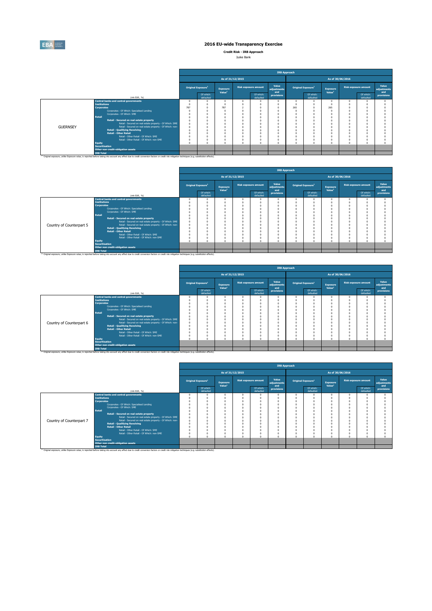

**Credit Risk - IRB Approach** Jyske Bank

| JVSKE DAIIK |  |
|-------------|--|
|             |  |

|                 |                                                                                                                                                                                                                                                                                                                                                                                                                             |     |                                |                    |                  |                             | <b>IRB Approach</b>  |                                                                                  |                                |                    |                             |                      |
|-----------------|-----------------------------------------------------------------------------------------------------------------------------------------------------------------------------------------------------------------------------------------------------------------------------------------------------------------------------------------------------------------------------------------------------------------------------|-----|--------------------------------|--------------------|------------------|-----------------------------|----------------------|----------------------------------------------------------------------------------|--------------------------------|--------------------|-----------------------------|----------------------|
|                 |                                                                                                                                                                                                                                                                                                                                                                                                                             |     |                                |                    | As of 31/12/2015 |                             |                      |                                                                                  |                                | As of 30/06/2016   |                             |                      |
|                 |                                                                                                                                                                                                                                                                                                                                                                                                                             |     | Original Exposure <sup>1</sup> | <b>Exposure</b>    |                  | <b>Risk exposure amount</b> | Value<br>adiustments |                                                                                  | Original Exposure <sup>1</sup> | <b>Exposure</b>    | <b>Risk exposure amount</b> | Value<br>adiustments |
|                 | (mln EUR, %)                                                                                                                                                                                                                                                                                                                                                                                                                |     | Of which:<br>defaulted         | Value <sup>1</sup> |                  | Of which:<br>defaulted      | and<br>provisions    |                                                                                  | Of which:<br>defaulted         | Value <sup>1</sup> | Of which:<br>defaulted      | and<br>provisions    |
| <b>GUERNSEY</b> | <b>Central banks and central governments</b><br><b>Institutions</b><br><b>Corporates</b><br>Corporates - Of Which: Specialised Lending<br>Corporates - Of Which: SME<br>Retail<br>Retail - Secured on real estate property<br>Retail - Secured on real estate property - Of Which: SME<br>Retail - Secured on real estate property - Of Which: non-<br><b>Retail - Qualifying Revolving</b><br><b>Retail - Other Retail</b> | 787 |                                | $\Omega$<br>787    |                  |                             |                      | $\Omega$<br>n<br>265<br>$\Omega$<br>$\Omega$<br>$\Omega$<br>$\Omega$<br>$\Omega$ |                                | 265                |                             |                      |
|                 | Retail - Other Retail - Of Which: SME<br>Retail - Other Retail - Of Which: non-SME<br>Equity<br><b>Securitisation</b><br>Other non credit-obligation assets<br><b>IRB Total</b>                                                                                                                                                                                                                                             |     |                                | $\alpha$           |                  |                             |                      | $\Omega$<br>$\Omega$                                                             |                                |                    |                             |                      |
|                 | (1) Original exposure, unlike Exposure value, is reported before taking into account any effect due to credit conversion factors or credit risk mitigation techniques (e.g. substitution effects).                                                                                                                                                                                                                          |     |                                |                    |                  |                             |                      |                                                                                  |                                |                    |                             |                      |

|                          |                       |                                                                                                                                                                                                    |          |                                |                                |                  |                             | <b>IRB Approach</b>         |          |                                |                                       |                  |                             |                             |
|--------------------------|-----------------------|----------------------------------------------------------------------------------------------------------------------------------------------------------------------------------------------------|----------|--------------------------------|--------------------------------|------------------|-----------------------------|-----------------------------|----------|--------------------------------|---------------------------------------|------------------|-----------------------------|-----------------------------|
|                          |                       |                                                                                                                                                                                                    |          |                                |                                | As of 31/12/2015 |                             |                             |          |                                |                                       | As of 30/06/2016 |                             |                             |
|                          |                       |                                                                                                                                                                                                    |          | Original Exposure <sup>1</sup> | Exposure<br>Value <sup>1</sup> |                  | <b>Risk exposure amount</b> | Value<br>adjustments<br>and |          | Original Exposure <sup>1</sup> | <b>Exposure</b><br>Value <sup>1</sup> |                  | <b>Risk exposure amount</b> | Value<br>adjustments<br>and |
|                          |                       | (mln EUR, %)                                                                                                                                                                                       |          | Of which:<br>defaulted         |                                |                  | Of which:<br>defaulted      | provisions                  |          | Of which:<br>defaulted         |                                       |                  | Of which:<br>defaulted      | provisions                  |
|                          |                       | <b>Central banks and central governments</b>                                                                                                                                                       |          |                                |                                |                  |                             |                             |          |                                |                                       |                  |                             |                             |
|                          | <b>Institutions</b>   |                                                                                                                                                                                                    |          |                                |                                |                  |                             |                             |          |                                |                                       |                  |                             |                             |
|                          | <b>Corporates</b>     |                                                                                                                                                                                                    |          |                                |                                |                  |                             |                             | $\Omega$ |                                |                                       |                  |                             |                             |
|                          |                       | Corporates - Of Which: Specialised Lending                                                                                                                                                         |          |                                |                                |                  |                             | $\theta$                    | $\Omega$ |                                |                                       |                  |                             |                             |
|                          |                       | Corporates - Of Which: SME                                                                                                                                                                         |          |                                |                                |                  |                             | $\Omega$                    | n        |                                |                                       |                  |                             |                             |
|                          | Retail                |                                                                                                                                                                                                    |          |                                |                                |                  |                             | $\theta$                    |          |                                |                                       |                  |                             |                             |
|                          |                       | Retail - Secured on real estate property                                                                                                                                                           |          |                                |                                |                  |                             | $\theta$                    | $\Omega$ |                                |                                       |                  |                             |                             |
|                          |                       | Retail - Secured on real estate property - Of Which: SME                                                                                                                                           | $\Omega$ |                                |                                |                  |                             | $\theta$                    | $\Omega$ |                                |                                       |                  |                             |                             |
| Country of Counterpart 5 |                       | Retail - Secured on real estate property - Of Which: non-                                                                                                                                          |          |                                |                                |                  |                             |                             |          |                                |                                       |                  |                             |                             |
|                          |                       | <b>Retail - Qualifying Revolving</b>                                                                                                                                                               |          |                                |                                |                  |                             |                             |          |                                |                                       |                  |                             |                             |
|                          |                       | <b>Retail - Other Retail</b>                                                                                                                                                                       |          |                                |                                |                  |                             |                             |          |                                |                                       |                  |                             |                             |
|                          |                       | Retail - Other Retail - Of Which: SME                                                                                                                                                              |          |                                |                                |                  |                             |                             |          |                                |                                       |                  |                             |                             |
|                          |                       | Retail - Other Retail - Of Which: non-SME                                                                                                                                                          |          |                                |                                |                  |                             | $\theta$                    |          |                                |                                       |                  |                             |                             |
|                          | Equity                |                                                                                                                                                                                                    |          |                                |                                |                  |                             | n                           | $\theta$ |                                |                                       |                  |                             |                             |
|                          | <b>Securitisation</b> |                                                                                                                                                                                                    |          |                                |                                |                  |                             |                             |          |                                |                                       |                  |                             |                             |
|                          |                       | Other non credit-obligation assets                                                                                                                                                                 |          |                                |                                |                  |                             |                             |          |                                |                                       |                  |                             |                             |
|                          | <b>IRB Total</b>      |                                                                                                                                                                                                    |          |                                |                                |                  |                             |                             |          |                                |                                       |                  |                             |                             |
|                          |                       | (1) Original exposure, unlike Exposure value, is reported before taking into account any effect due to credit conversion factors or credit risk mitigation techniques (e.g. substitution effects). |          |                                |                                |                  |                             |                             |          |                                |                                       |                  |                             |                             |

|                          |                                                                                                                                                                                                                                                                                                                                                                                                                                                                                                                                                             |                                |                    |                             | <b>IRB Approach</b>                                                       |                              |                                |                    |                  |                             |                      |
|--------------------------|-------------------------------------------------------------------------------------------------------------------------------------------------------------------------------------------------------------------------------------------------------------------------------------------------------------------------------------------------------------------------------------------------------------------------------------------------------------------------------------------------------------------------------------------------------------|--------------------------------|--------------------|-----------------------------|---------------------------------------------------------------------------|------------------------------|--------------------------------|--------------------|------------------|-----------------------------|----------------------|
|                          |                                                                                                                                                                                                                                                                                                                                                                                                                                                                                                                                                             |                                | As of 31/12/2015   |                             |                                                                           |                              |                                |                    | As of 30/06/2016 |                             |                      |
|                          |                                                                                                                                                                                                                                                                                                                                                                                                                                                                                                                                                             | Original Exposure <sup>1</sup> | <b>Exposure</b>    | <b>Risk exposure amount</b> | Value<br>adjustments                                                      |                              | Original Exposure <sup>1</sup> | <b>Exposure</b>    |                  | <b>Risk exposure amount</b> | Value<br>adiustments |
|                          | (min EUR, %)                                                                                                                                                                                                                                                                                                                                                                                                                                                                                                                                                | Of which:<br>defaulted         | Value <sup>1</sup> | Of which:<br>defaulted      | and<br>provisions                                                         |                              | Of which:<br>defaulted         | Value <sup>1</sup> |                  | Of which:<br>defaulted      | and<br>provisions    |
| Country of Counterpart 6 | <b>Central banks and central governments</b><br><b>Institutions</b><br><b>Corporates</b><br>Corporates - Of Which: Specialised Lending<br>Corporates - Of Which: SME<br><b>Retail</b><br>Retail - Secured on real estate property<br>Retail - Secured on real estate property - Of Which: SME<br>Retail - Secured on real estate property - Of Which: non-<br><b>Retail - Qualifying Revolving</b><br><b>Retail - Other Retail</b><br>Retail - Other Retail - Of Which: SME<br>Retail - Other Retail - Of Which: non-SME<br><b>Equity</b><br>Securitisation |                                | $\Omega$           | $\sqrt{2}$<br>$\Omega$      | $\Omega$<br>$\Omega$<br>0<br>$\Omega$<br>$\Omega$<br>$\Omega$<br>$\Omega$ | $\Omega$<br>O<br>n<br>O<br>n |                                | $\Omega$           |                  |                             |                      |
|                          | Other non credit-obligation assets<br><b>IRB Total</b><br><sup>(1)</sup> Original exposure, unlike Exposure value, is reported before taking into account any effect due to credit conversion factors or credit risk mitigation techniques (e.g. substitution effects).                                                                                                                                                                                                                                                                                     |                                |                    |                             |                                                                           |                              |                                |                    |                  |                             |                      |

|                          |                       |                                                                                                                                                                                                    |                                       |                                       |                             | <b>IRB Approach</b>         |                                |                        |                                       |                             |                             |
|--------------------------|-----------------------|----------------------------------------------------------------------------------------------------------------------------------------------------------------------------------------------------|---------------------------------------|---------------------------------------|-----------------------------|-----------------------------|--------------------------------|------------------------|---------------------------------------|-----------------------------|-----------------------------|
|                          |                       |                                                                                                                                                                                                    |                                       | As of 31/12/2015                      |                             |                             |                                |                        | As of 30/06/2016                      |                             |                             |
|                          |                       |                                                                                                                                                                                                    | <b>Original Exposure</b> <sup>1</sup> | <b>Exposure</b><br>Value <sup>1</sup> | <b>Risk exposure amount</b> | Value<br>adjustments<br>and | Original Exposure <sup>1</sup> |                        | <b>Exposure</b><br>Value <sup>1</sup> | <b>Risk exposure amount</b> | Value<br>adjustments<br>and |
|                          |                       | (min EUR. %)                                                                                                                                                                                       | Of which:<br>defaulted                |                                       | Of which:<br>defaulted      | provisions                  |                                | Of which:<br>defaulted |                                       | Of which:<br>defaulted      | provisions                  |
|                          |                       | <b>Central banks and central governments</b>                                                                                                                                                       |                                       |                                       |                             | $\Omega$                    | $\Omega$                       |                        |                                       |                             |                             |
|                          | <b>Institutions</b>   |                                                                                                                                                                                                    |                                       |                                       |                             |                             |                                |                        |                                       |                             |                             |
|                          | <b>Corporates</b>     |                                                                                                                                                                                                    |                                       |                                       |                             |                             |                                |                        |                                       |                             |                             |
|                          |                       | Corporates - Of Which: Specialised Lending                                                                                                                                                         |                                       |                                       |                             |                             |                                |                        |                                       |                             |                             |
|                          |                       | Corporates - Of Which: SME                                                                                                                                                                         |                                       |                                       |                             |                             |                                |                        |                                       |                             |                             |
|                          | Retail                |                                                                                                                                                                                                    |                                       |                                       |                             |                             |                                |                        |                                       |                             |                             |
|                          |                       | Retail - Secured on real estate property                                                                                                                                                           |                                       |                                       |                             | Ò                           |                                |                        |                                       |                             |                             |
|                          |                       | Retail - Secured on real estate property - Of Which: SME                                                                                                                                           |                                       |                                       |                             |                             |                                |                        |                                       |                             |                             |
| Country of Counterpart 7 |                       | Retail - Secured on real estate property - Of Which: non-                                                                                                                                          |                                       |                                       |                             |                             |                                |                        |                                       |                             |                             |
|                          |                       | <b>Retail - Qualifying Revolving</b>                                                                                                                                                               |                                       |                                       |                             | $\Omega$                    |                                |                        |                                       |                             |                             |
|                          |                       | <b>Retail - Other Retail</b>                                                                                                                                                                       |                                       |                                       |                             |                             |                                |                        |                                       |                             |                             |
|                          |                       | Retail - Other Retail - Of Which: SME                                                                                                                                                              |                                       |                                       |                             | $\Omega$                    |                                |                        |                                       |                             |                             |
|                          |                       | Retail - Other Retail - Of Which: non-SME                                                                                                                                                          |                                       |                                       |                             | $\Omega$                    | o                              |                        |                                       |                             |                             |
|                          | <b>Equity</b>         |                                                                                                                                                                                                    |                                       |                                       |                             | Ò                           | n                              |                        |                                       |                             |                             |
|                          | <b>Securitisation</b> |                                                                                                                                                                                                    |                                       |                                       |                             |                             |                                |                        |                                       |                             |                             |
|                          |                       | Other non credit-obligation assets                                                                                                                                                                 |                                       |                                       |                             |                             |                                |                        |                                       |                             |                             |
|                          | <b>IRB Total</b>      |                                                                                                                                                                                                    |                                       |                                       |                             |                             |                                |                        |                                       |                             |                             |
|                          |                       | (1) Original exposure, unlike Exposure value, is reported before taking into account any effect due to credit conversion factors or credit risk mitigation techniques (e.g. substitution effects). |                                       |                                       |                             |                             |                                |                        |                                       |                             |                             |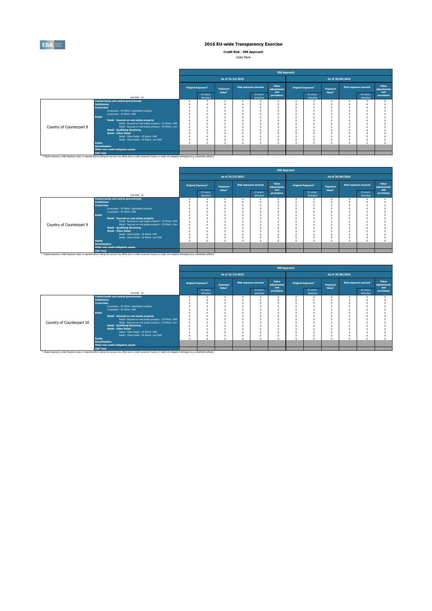

**Credit Risk - IRB Approach**

| Jyske Bank |  |
|------------|--|
|            |  |

|                          |                                                                                                                                                                                                                                                                                                                                                                                                                             |                                       |                                       |                                            | <b>IRB Approach</b>         |                                                                                          |                                                                                  |                                       |                  |                             |                             |
|--------------------------|-----------------------------------------------------------------------------------------------------------------------------------------------------------------------------------------------------------------------------------------------------------------------------------------------------------------------------------------------------------------------------------------------------------------------------|---------------------------------------|---------------------------------------|--------------------------------------------|-----------------------------|------------------------------------------------------------------------------------------|----------------------------------------------------------------------------------|---------------------------------------|------------------|-----------------------------|-----------------------------|
|                          |                                                                                                                                                                                                                                                                                                                                                                                                                             |                                       | As of 31/12/2015                      |                                            |                             |                                                                                          |                                                                                  |                                       | As of 30/06/2016 |                             |                             |
|                          |                                                                                                                                                                                                                                                                                                                                                                                                                             | <b>Original Exposure</b> <sup>1</sup> | <b>Exposure</b><br>Value <sup>1</sup> | <b>Risk exposure amount</b>                | Value<br>adjustments<br>and | Original Exposure <sup>1</sup>                                                           |                                                                                  | <b>Exposure</b><br>Value <sup>1</sup> |                  | <b>Risk exposure amount</b> | Value<br>adjustments<br>and |
|                          | (min EUR. %)                                                                                                                                                                                                                                                                                                                                                                                                                | Of which:<br>defaulted                |                                       | Of which:<br>defaulted                     | provisions                  |                                                                                          | Of which:<br>defaulted                                                           |                                       |                  | Of which:<br>defaulted      | provisions                  |
| Country of Counterpart 8 | <b>Central banks and central governments</b><br><b>Institutions</b><br><b>Corporates</b><br>Corporates - Of Which: Specialised Lending<br>Corporates - Of Which: SME<br>Retail<br>Retail - Secured on real estate property<br>Retail - Secured on real estate property - Of Which: SME<br>Retail - Secured on real estate property - Of Which: non-<br><b>Retail - Qualifying Revolving</b><br><b>Retail - Other Retail</b> |                                       | $\Omega$                              | n<br>n<br>$\theta$<br>$\theta$<br>$\Omega$ |                             | $^{\circ}$<br>O<br>n<br>$\Omega$<br>$\theta$<br>0<br>$\theta$<br>n<br>n<br>n<br>$\theta$ | $\Omega$<br>$\Omega$<br>$\Omega$<br>$\Omega$<br>$\Omega$<br>$\Omega$<br>$\Omega$ |                                       |                  |                             |                             |
|                          | Retail - Other Retail - Of Which: SME<br>Retail - Other Retail - Of Which: non-SME<br>Equity<br><b>Securitisation</b><br>Other non credit-obligation assets<br><b>IRB Total</b>                                                                                                                                                                                                                                             |                                       |                                       | n<br>$\Omega$<br>$\theta$                  |                             | $\Omega$<br>$^{\circ}$<br>$\Omega$                                                       | $\Omega$<br>$\Omega$<br>$\Omega$                                                 |                                       |                  |                             |                             |
|                          | (1) Original exposure, unlike Exposure value, is reported before taking into account any effect due to credit conversion factors or credit risk mitigation techniques (e.g. substitution effects).                                                                                                                                                                                                                          |                                       |                                       |                                            |                             |                                                                                          |                                                                                  |                                       |                  |                             |                             |

|                          |                       |                                                                                                                                                                                                               |                                |                                       |                  |                             | <b>IRB Approach</b>  |          |                                |                                |                             |                      |
|--------------------------|-----------------------|---------------------------------------------------------------------------------------------------------------------------------------------------------------------------------------------------------------|--------------------------------|---------------------------------------|------------------|-----------------------------|----------------------|----------|--------------------------------|--------------------------------|-----------------------------|----------------------|
|                          |                       |                                                                                                                                                                                                               |                                |                                       | As of 31/12/2015 |                             |                      |          |                                | As of 30/06/2016               |                             |                      |
|                          |                       |                                                                                                                                                                                                               | Original Exposure <sup>1</sup> | <b>Exposure</b><br>Value <sup>1</sup> |                  | <b>Risk exposure amount</b> | Value<br>adjustments |          | Original Exposure <sup>1</sup> | Exposure<br>Value <sup>1</sup> | <b>Risk exposure amount</b> | Value<br>adjustments |
|                          |                       | (mln EUR, %)                                                                                                                                                                                                  | Of which:<br>defaulted         |                                       |                  | Of which:<br>defaulted      | and<br>provisions    |          | Of which:<br>defaulted         |                                | Of which:<br>defaulted      | and<br>provisions    |
|                          |                       | <b>Central banks and central governments</b>                                                                                                                                                                  |                                |                                       |                  |                             |                      | $\Omega$ | $\Omega$                       |                                |                             |                      |
|                          | <b>Institutions</b>   |                                                                                                                                                                                                               |                                |                                       |                  |                             |                      |          |                                |                                |                             |                      |
|                          | <b>Corporates</b>     |                                                                                                                                                                                                               |                                |                                       |                  |                             |                      |          |                                |                                |                             |                      |
|                          |                       | Corporates - Of Which: Specialised Lending                                                                                                                                                                    |                                |                                       |                  |                             |                      | $\Omega$ |                                |                                |                             |                      |
|                          |                       | Corporates - Of Which: SME                                                                                                                                                                                    |                                |                                       |                  |                             |                      |          |                                |                                |                             |                      |
|                          | <b>Retail</b>         |                                                                                                                                                                                                               |                                |                                       |                  |                             |                      |          |                                |                                |                             |                      |
|                          |                       | Retail - Secured on real estate property                                                                                                                                                                      |                                |                                       |                  |                             |                      | n        |                                |                                |                             |                      |
|                          |                       | Retail - Secured on real estate property - Of Which: SME                                                                                                                                                      |                                |                                       |                  |                             |                      |          |                                |                                |                             |                      |
| Country of Counterpart 9 |                       | Retail - Secured on real estate property - Of Which: non-                                                                                                                                                     |                                |                                       |                  |                             |                      |          |                                |                                |                             |                      |
|                          |                       | <b>Retail - Qualifying Revolving</b>                                                                                                                                                                          |                                |                                       |                  |                             |                      |          |                                |                                |                             |                      |
|                          |                       | <b>Retail - Other Retail</b>                                                                                                                                                                                  |                                |                                       |                  |                             |                      |          |                                |                                |                             |                      |
|                          |                       | Retail - Other Retail - Of Which: SME                                                                                                                                                                         |                                |                                       |                  |                             |                      |          |                                |                                |                             |                      |
|                          |                       | Retail - Other Retail - Of Which: non-SME                                                                                                                                                                     |                                |                                       |                  |                             |                      |          | $\Omega$                       |                                |                             |                      |
|                          | <b>Equity</b>         |                                                                                                                                                                                                               |                                |                                       |                  |                             |                      | $\Omega$ |                                |                                |                             |                      |
|                          | <b>Securitisation</b> |                                                                                                                                                                                                               |                                |                                       |                  |                             |                      |          |                                |                                |                             |                      |
|                          |                       | Other non credit-obligation assets                                                                                                                                                                            |                                |                                       |                  |                             |                      |          |                                |                                |                             |                      |
|                          | <b>IRB Total</b>      |                                                                                                                                                                                                               |                                |                                       |                  |                             |                      |          |                                |                                |                             |                      |
|                          |                       | <sup>(1)</sup> Original exposure, unlike Exposure value, is reported before taking into account any effect due to credit conversion factors or credit risk mitigation techniques (e.g. substitution effects). |                                |                                       |                  |                             |                      |          |                                |                                |                             |                      |

|                           |                       |                                                                                                                                                                                                               |                                       |                                       |                  |                             | <b>IRB Approach</b>         |   |                                |                                       |                  |                             |                             |
|---------------------------|-----------------------|---------------------------------------------------------------------------------------------------------------------------------------------------------------------------------------------------------------|---------------------------------------|---------------------------------------|------------------|-----------------------------|-----------------------------|---|--------------------------------|---------------------------------------|------------------|-----------------------------|-----------------------------|
|                           |                       |                                                                                                                                                                                                               |                                       |                                       | As of 31/12/2015 |                             |                             |   |                                |                                       | As of 30/06/2016 |                             |                             |
|                           |                       |                                                                                                                                                                                                               | <b>Original Exposure</b> <sup>1</sup> | <b>Exposure</b><br>Value <sup>1</sup> |                  | <b>Risk exposure amount</b> | Value<br>adjustments<br>and |   | Original Exposure <sup>1</sup> | <b>Exposure</b><br>Value <sup>1</sup> |                  | <b>Risk exposure amount</b> | Value<br>adjustments<br>and |
|                           |                       | (min EUR, %)                                                                                                                                                                                                  | Of which:<br>defaulted                |                                       |                  | Of which:<br>defaulted      | provisions                  |   | Of which:<br>defaulted         |                                       |                  | Of which:<br>defaulted      | provisions                  |
|                           |                       | <b>Central banks and central governments</b>                                                                                                                                                                  |                                       |                                       |                  |                             |                             | n |                                |                                       |                  |                             |                             |
|                           | <b>Institutions</b>   |                                                                                                                                                                                                               |                                       |                                       |                  |                             |                             |   |                                |                                       |                  |                             |                             |
|                           | <b>Corporates</b>     |                                                                                                                                                                                                               |                                       |                                       |                  |                             |                             |   |                                |                                       |                  |                             |                             |
|                           |                       | Corporates - Of Which: Specialised Lending                                                                                                                                                                    |                                       |                                       |                  |                             |                             |   |                                |                                       |                  |                             |                             |
|                           |                       | Corporates - Of Which: SME                                                                                                                                                                                    |                                       |                                       |                  |                             |                             |   |                                |                                       |                  |                             |                             |
|                           | <b>Retail</b>         |                                                                                                                                                                                                               |                                       |                                       |                  |                             |                             |   |                                |                                       |                  |                             |                             |
|                           |                       | Retail - Secured on real estate property                                                                                                                                                                      |                                       |                                       |                  |                             |                             |   |                                |                                       |                  |                             |                             |
|                           |                       | Retail - Secured on real estate property - Of Which: SME                                                                                                                                                      |                                       |                                       |                  |                             |                             |   |                                |                                       |                  |                             |                             |
| Country of Counterpart 10 |                       | Retail - Secured on real estate property - Of Which: non-                                                                                                                                                     |                                       |                                       |                  |                             |                             |   |                                |                                       |                  |                             |                             |
|                           |                       | <b>Retail - Qualifving Revolving</b>                                                                                                                                                                          |                                       |                                       |                  |                             |                             |   |                                |                                       |                  |                             |                             |
|                           |                       | <b>Retail - Other Retail</b>                                                                                                                                                                                  |                                       |                                       |                  |                             |                             |   |                                |                                       |                  |                             |                             |
|                           |                       | Retail - Other Retail - Of Which: SME                                                                                                                                                                         |                                       |                                       |                  |                             | $\Omega$                    |   |                                |                                       |                  |                             |                             |
|                           |                       | Retail - Other Retail - Of Which: non-SME                                                                                                                                                                     |                                       |                                       |                  |                             |                             | O |                                |                                       |                  |                             |                             |
|                           | <b>Equity</b>         |                                                                                                                                                                                                               |                                       |                                       |                  |                             | $\alpha$                    | n |                                |                                       |                  |                             |                             |
|                           | <b>Securitisation</b> |                                                                                                                                                                                                               |                                       |                                       |                  |                             |                             |   |                                |                                       |                  |                             |                             |
|                           |                       | Other non credit-obligation assets                                                                                                                                                                            |                                       |                                       |                  |                             |                             |   |                                |                                       |                  |                             |                             |
|                           | <b>IRB Total</b>      |                                                                                                                                                                                                               |                                       |                                       |                  |                             |                             |   |                                |                                       |                  |                             |                             |
|                           |                       | <sup>(1)</sup> Original exposure, unlike Exposure value, is reported before taking into account any effect due to credit conversion factors or credit risk mitigation techniques (e.g. substitution effects). |                                       |                                       |                  |                             |                             |   |                                |                                       |                  |                             |                             |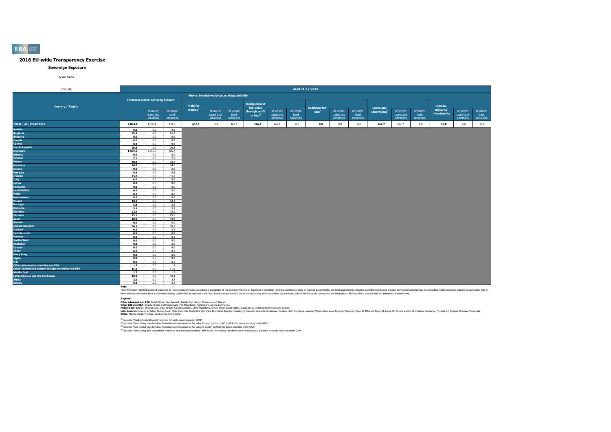#### **Sovereign Exposure**

Jyske Bank

| (mln EUR)                                          |              |                                          |                    |                                         |                       |                    |                      |                       | As of 31/12/2015   |                       |                       |                    |                          |                       |                    |                         |                       |                    |
|----------------------------------------------------|--------------|------------------------------------------|--------------------|-----------------------------------------|-----------------------|--------------------|----------------------|-----------------------|--------------------|-----------------------|-----------------------|--------------------|--------------------------|-----------------------|--------------------|-------------------------|-----------------------|--------------------|
|                                                    |              |                                          |                    | Memo: breakdown by accounting portfolio |                       |                    |                      |                       |                    |                       |                       |                    |                          |                       |                    |                         |                       |                    |
|                                                    |              | <b>Financial assets: Carrying Amount</b> |                    |                                         |                       |                    |                      |                       |                    |                       |                       |                    |                          |                       |                    |                         |                       |                    |
|                                                    |              |                                          |                    |                                         |                       |                    | <b>Designated at</b> |                       |                    |                       |                       |                    |                          |                       |                    |                         |                       |                    |
| <b>Country / Region</b>                            |              |                                          |                    | <b>Held for</b>                         |                       |                    | fair value           |                       |                    | <b>Available-for-</b> |                       |                    | <b>Loans and</b>         |                       |                    | Held-to-                |                       |                    |
|                                                    |              | of which:                                | of which:          | trading                                 | of which:             | of which:          | through profit       | of which:             | of which:          | sale <sup>3</sup>     | of which:             | of which:          | Receivables <sup>4</sup> | of which:             | of which:          | maturity<br>investments | of which:             | of which:          |
|                                                    |              | loans and<br>advances                    | debt<br>securities |                                         | Loans and<br>advances | Debt<br>securities | or $loss2$           | Loans and<br>advances | Debt<br>securities |                       | Loans and<br>advances | Debt<br>securities |                          | Loans and<br>advances | Debt<br>securities |                         | Loans and<br>advances | Debt<br>securities |
|                                                    |              |                                          |                    |                                         |                       |                    |                      |                       |                    |                       |                       |                    |                          |                       |                    |                         |                       |                    |
| <b>TOTAL - ALL COUNTRIES</b>                       | 1,874.4      | 1,395.9                                  | 478.5              | 462.7                                   | 0.0                   | 462.7              | 326.3                | 326.3                 | 0.0                | 0.0                   | 0.0                   | 0.0                | 967.7                    | 967.7                 | 0.0                | 15.8                    | 0.0                   | 15.8               |
| Austria                                            | 0.0          | 0.0                                      | 0.0                |                                         |                       |                    |                      |                       |                    |                       |                       |                    |                          |                       |                    |                         |                       |                    |
| <b>Belgium</b>                                     | 65.1         | 0.0                                      | 65.1               |                                         |                       |                    |                      |                       |                    |                       |                       |                    |                          |                       |                    |                         |                       |                    |
| <b>Bulgaria</b>                                    | 0.0          | 0.0                                      | 0.0                |                                         |                       |                    |                      |                       |                    |                       |                       |                    |                          |                       |                    |                         |                       |                    |
| Croatia                                            | 0.0          | 0.0                                      | 0.0                |                                         |                       |                    |                      |                       |                    |                       |                       |                    |                          |                       |                    |                         |                       |                    |
| Cyprus                                             | 0.0          | 0.0                                      | 0.0                |                                         |                       |                    |                      |                       |                    |                       |                       |                    |                          |                       |                    |                         |                       |                    |
| <b>Czech Republic</b>                              | 20.3         | 0.0                                      | 20.3               |                                         |                       |                    |                      |                       |                    |                       |                       |                    |                          |                       |                    |                         |                       |                    |
| <b>Denmark</b>                                     | 1,501.5      | 1,395.8                                  | 105.7              |                                         |                       |                    |                      |                       |                    |                       |                       |                    |                          |                       |                    |                         |                       |                    |
| Estonia                                            | 0.0          | 0.0                                      | 0.0                |                                         |                       |                    |                      |                       |                    |                       |                       |                    |                          |                       |                    |                         |                       |                    |
| Finland                                            | 2.1          | 0.0                                      | 2.1                |                                         |                       |                    |                      |                       |                    |                       |                       |                    |                          |                       |                    |                         |                       |                    |
| France                                             | 40.0         | 0.0                                      | 40.0               |                                         |                       |                    |                      |                       |                    |                       |                       |                    |                          |                       |                    |                         |                       |                    |
| <b>Germany</b>                                     | 74.8         | 0.0                                      | 74.8               |                                         |                       |                    |                      |                       |                    |                       |                       |                    |                          |                       |                    |                         |                       |                    |
| Greece                                             | 0.0          | 0.0                                      | 0.0                |                                         |                       |                    |                      |                       |                    |                       |                       |                    |                          |                       |                    |                         |                       |                    |
| Hungary                                            | 8.5          | 0.0                                      | 8.5                |                                         |                       |                    |                      |                       |                    |                       |                       |                    |                          |                       |                    |                         |                       |                    |
| Ireland                                            | 15.8         | 0.0                                      | 15.8               |                                         |                       |                    |                      |                       |                    |                       |                       |                    |                          |                       |                    |                         |                       |                    |
| <b>Italy</b><br>Latvia                             | 0.0          | 0.0                                      | 0.0                |                                         |                       |                    |                      |                       |                    |                       |                       |                    |                          |                       |                    |                         |                       |                    |
|                                                    | 0.0          | 0.0                                      | 0.0                |                                         |                       |                    |                      |                       |                    |                       |                       |                    |                          |                       |                    |                         |                       |                    |
| Lithuania                                          | 0.0          | 0.0                                      | 0.0<br>0.0         |                                         |                       |                    |                      |                       |                    |                       |                       |                    |                          |                       |                    |                         |                       |                    |
| Luxembourg                                         | 0.0          | 0.0                                      |                    |                                         |                       |                    |                      |                       |                    |                       |                       |                    |                          |                       |                    |                         |                       |                    |
| Malta                                              | 0.0          | 0.0                                      | 0.0                |                                         |                       |                    |                      |                       |                    |                       |                       |                    |                          |                       |                    |                         |                       |                    |
| <b>Netherlands</b>                                 | 0.0          | 0.0                                      | 0.0                |                                         |                       |                    |                      |                       |                    |                       |                       |                    |                          |                       |                    |                         |                       |                    |
| Poland                                             | 18.2         | 0.0                                      | 18.2               |                                         |                       |                    |                      |                       |                    |                       |                       |                    |                          |                       |                    |                         |                       |                    |
| Portugal                                           | 5.8          | 0.0                                      | 5.8                |                                         |                       |                    |                      |                       |                    |                       |                       |                    |                          |                       |                    |                         |                       |                    |
| Romania<br>Slovakia                                | 5.9          | 0.0<br>0.0                               | 5.9<br>22.0        |                                         |                       |                    |                      |                       |                    |                       |                       |                    |                          |                       |                    |                         |                       |                    |
| <b>Slovenia</b>                                    | 22.0<br>25.1 | $0.0 -$                                  | 25.1               |                                         |                       |                    |                      |                       |                    |                       |                       |                    |                          |                       |                    |                         |                       |                    |
| Spain                                              | 10.9         | 0.0                                      | 10.9               |                                         |                       |                    |                      |                       |                    |                       |                       |                    |                          |                       |                    |                         |                       |                    |
| Sweden                                             | 0.0          | 0.0                                      | 0.0                |                                         |                       |                    |                      |                       |                    |                       |                       |                    |                          |                       |                    |                         |                       |                    |
| <b>United Kingdom</b>                              | 30.5         | 0.0                                      | 30.5               |                                         |                       |                    |                      |                       |                    |                       |                       |                    |                          |                       |                    |                         |                       |                    |
| Iceland                                            | 0.2          | 0.0                                      | 0.2                |                                         |                       |                    |                      |                       |                    |                       |                       |                    |                          |                       |                    |                         |                       |                    |
| Liechtenstein                                      | 0.0          | 0.0                                      | 0.0                |                                         |                       |                    |                      |                       |                    |                       |                       |                    |                          |                       |                    |                         |                       |                    |
| <b>Norway</b>                                      | 0.1          | 0.0                                      | 0.1                |                                         |                       |                    |                      |                       |                    |                       |                       |                    |                          |                       |                    |                         |                       |                    |
| <b>Switzerland</b>                                 | 0.0          | 0.0                                      | 0.0                |                                         |                       |                    |                      |                       |                    |                       |                       |                    |                          |                       |                    |                         |                       |                    |
| <b>Australia</b>                                   | 0.0          | 0.0                                      | 0.0                |                                         |                       |                    |                      |                       |                    |                       |                       |                    |                          |                       |                    |                         |                       |                    |
| Canada                                             | 0.0          | 0.0                                      | 0.0                |                                         |                       |                    |                      |                       |                    |                       |                       |                    |                          |                       |                    |                         |                       |                    |
| China                                              | 0.0          | 0.0                                      | 0.0                |                                         |                       |                    |                      |                       |                    |                       |                       |                    |                          |                       |                    |                         |                       |                    |
| <b>Hong Kong</b>                                   | 0.0          | 0.0                                      | 0.0                |                                         |                       |                    |                      |                       |                    |                       |                       |                    |                          |                       |                    |                         |                       |                    |
| Japan                                              | 0.0          | 0.0                                      | 0.0                |                                         |                       |                    |                      |                       |                    |                       |                       |                    |                          |                       |                    |                         |                       |                    |
| <b>U.S.</b>                                        | 0.1          | 0.0                                      | 0.1                |                                         |                       |                    |                      |                       |                    |                       |                       |                    |                          |                       |                    |                         |                       |                    |
| Other advanced economies non EEA                   | 1.9          | 0.0                                      | 1.9                |                                         |                       |                    |                      |                       |                    |                       |                       |                    |                          |                       |                    |                         |                       |                    |
| Other Central and eastern Europe countries non EEA | 11.3         | 0.0                                      | 11.3               |                                         |                       |                    |                      |                       |                    |                       |                       |                    |                          |                       |                    |                         |                       |                    |
| Middle East                                        | 1.5          | 0.0                                      | 1.5                |                                         |                       |                    |                      |                       |                    |                       |                       |                    |                          |                       |                    |                         |                       |                    |
| <b>Latin America and the Caribbean</b>             | 10.4         | 0.0                                      | 10.4               |                                         |                       |                    |                      |                       |                    |                       |                       |                    |                          |                       |                    |                         |                       |                    |
| <b>Africa</b>                                      | 2.2          | 0.0                                      | 2.2                |                                         |                       |                    |                      |                       |                    |                       |                       |                    |                          |                       |                    |                         |                       |                    |
| <b>Others</b>                                      | 0.3          | 0.2                                      | 0.1                |                                         |                       |                    |                      |                       |                    |                       |                       |                    |                          |                       |                    |                         |                       |                    |

Note:<br>The information reported covers all exposures to "General governments" as defined in paraggin 41 (b) of Annex V of ITS on Supervisory reporting: "central governments, state or regional governments, and both governmen

**Redions:**<br>Other afvanced non EEA: Israel, Korea, New Zealand, Russia, San Marino, Singore and Taiwan.<br>Middle East: Bahain, Dilouti, Iran, Iran, Jordan, Kuran, Libya, Mewhamenn: Semina, Oman, Suna, Suna, Suna, United Arab

(1) Includes "Trading financial assets" portfolio for banks reporting under GAAP

<sup>(2)</sup> Includes "Non-trading non-derivative financial assets measured at fair value through profit or loss" portfolio for banks reporting under GAAP<br><sup>03</sup> Includes "Non-trading non-derivative financial and and the major bank

**EBA**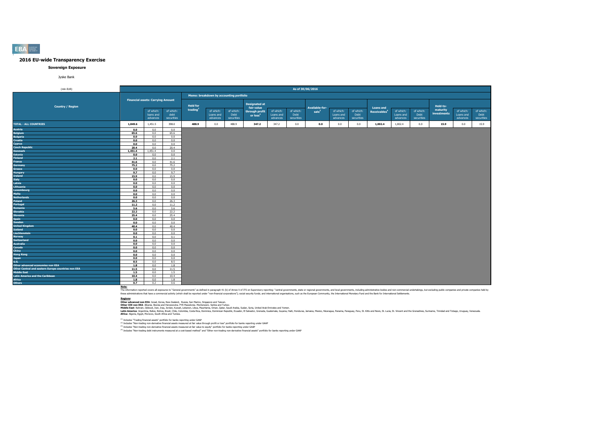#### **Sovereign Exposure**

Jyske Bank

| (mln EUR)                                                         |             |                                          |                                 |                 |                                         |                                 |                                        |                                    | As of 30/06/2016                |                   |                                    |                                 |                          |                                    |                                 |                         |                                    |                                 |
|-------------------------------------------------------------------|-------------|------------------------------------------|---------------------------------|-----------------|-----------------------------------------|---------------------------------|----------------------------------------|------------------------------------|---------------------------------|-------------------|------------------------------------|---------------------------------|--------------------------|------------------------------------|---------------------------------|-------------------------|------------------------------------|---------------------------------|
|                                                                   |             |                                          |                                 |                 | Memo: breakdown by accounting portfolio |                                 |                                        |                                    |                                 |                   |                                    |                                 |                          |                                    |                                 |                         |                                    |                                 |
| <b>Country / Region</b>                                           |             | <b>Financial assets: Carrying Amount</b> |                                 | <b>Held for</b> |                                         |                                 | <b>Designated at</b><br>fair value     |                                    |                                 | Available-for-    |                                    |                                 | <b>Loans and</b>         |                                    |                                 | Held-to-                |                                    |                                 |
|                                                                   |             | of which:<br>loans and<br>advances       | of which:<br>debt<br>securities | trading         | of which:<br>Loans and<br>advances      | of which:<br>Debt<br>securities | through profit<br>or loss <sup>2</sup> | of which:<br>Loans and<br>advances | of which:<br>Debt<br>securities | sale <sup>3</sup> | of which:<br>Loans and<br>advances | of which:<br>Debt<br>securities | Receivables <sup>4</sup> | of which:<br>Loans and<br>advances | of which:<br>Debt<br>securities | maturity<br>investments | of which:<br>Loans and<br>advances | of which:<br>Debt<br>securities |
| <b>TOTAL - ALL COUNTRIES</b>                                      | 1,849.6     | 1,451.5                                  | 398.0                           | 488.9           | 0.0                                     | 488.9                           | 347.2                                  | 347.2                              | 0.0                             | 0.0               | 0.0                                | 0.0                             | 1,002.4                  | 1,002.4                            | 0.0                             | 15.9                    | 0.0                                | 15.9                            |
| Austria                                                           | 0.0         | 0.0                                      | 0.0                             |                 |                                         |                                 |                                        |                                    |                                 |                   |                                    |                                 |                          |                                    |                                 |                         |                                    |                                 |
| <b>Belgium</b>                                                    | 65.6        | 0.0                                      | 65.6                            |                 |                                         |                                 |                                        |                                    |                                 |                   |                                    |                                 |                          |                                    |                                 |                         |                                    |                                 |
| <b>Bulgaria</b>                                                   | 0.0         | 0.0                                      | 0.0                             |                 |                                         |                                 |                                        |                                    |                                 |                   |                                    |                                 |                          |                                    |                                 |                         |                                    |                                 |
| Croatia                                                           | 0.0         | 0.0                                      | 0.0                             |                 |                                         |                                 |                                        |                                    |                                 |                   |                                    |                                 |                          |                                    |                                 |                         |                                    |                                 |
| Cyprus                                                            | 0.0         | 0.0                                      | 0.0                             |                 |                                         |                                 |                                        |                                    |                                 |                   |                                    |                                 |                          |                                    |                                 |                         |                                    |                                 |
| <b>Czech Republic</b>                                             | 20.4        | 0.0                                      | 20.4                            |                 |                                         |                                 |                                        |                                    |                                 |                   |                                    |                                 |                          |                                    |                                 |                         |                                    |                                 |
| <b>Denmark</b>                                                    | 1,451.4     | 1,451.4                                  | 0.0                             |                 |                                         |                                 |                                        |                                    |                                 |                   |                                    |                                 |                          |                                    |                                 |                         |                                    |                                 |
| <b>Estonia</b>                                                    | 0.0         | 0.0                                      | 0.0                             |                 |                                         |                                 |                                        |                                    |                                 |                   |                                    |                                 |                          |                                    |                                 |                         |                                    |                                 |
| <b>Finland</b>                                                    | 2.1         | 0.0                                      | 2.1                             |                 |                                         |                                 |                                        |                                    |                                 |                   |                                    |                                 |                          |                                    |                                 |                         |                                    |                                 |
| France                                                            | 41.6        | 0.0                                      | 41.6                            |                 |                                         |                                 |                                        |                                    |                                 |                   |                                    |                                 |                          |                                    |                                 |                         |                                    |                                 |
| <b>Germany</b>                                                    | 75.2        | 0.0                                      | 75.2                            |                 |                                         |                                 |                                        |                                    |                                 |                   |                                    |                                 |                          |                                    |                                 |                         |                                    |                                 |
| Greece                                                            | 0.0         | 0.0                                      | 0.0                             |                 |                                         |                                 |                                        |                                    |                                 |                   |                                    |                                 |                          |                                    |                                 |                         |                                    |                                 |
| Hungary                                                           | 9.7         | 0.0                                      | 9.7                             |                 |                                         |                                 |                                        |                                    |                                 |                   |                                    |                                 |                          |                                    |                                 |                         |                                    |                                 |
| Ireland                                                           | 15.9        | 0.0                                      | 15.9                            |                 |                                         |                                 |                                        |                                    |                                 |                   |                                    |                                 |                          |                                    |                                 |                         |                                    |                                 |
| <b>Italy</b>                                                      | 0.0         | 0.0                                      | 0.0                             |                 |                                         |                                 |                                        |                                    |                                 |                   |                                    |                                 |                          |                                    |                                 |                         |                                    |                                 |
| Latvia                                                            | 0.0         | 0.0                                      | 0.0                             |                 |                                         |                                 |                                        |                                    |                                 |                   |                                    |                                 |                          |                                    |                                 |                         |                                    |                                 |
| Lithuania                                                         | 0.0         | 0.0                                      | 0.0                             |                 |                                         |                                 |                                        |                                    |                                 |                   |                                    |                                 |                          |                                    |                                 |                         |                                    |                                 |
| Luxembourg                                                        | 0.0         | 0.0                                      | 0.0                             |                 |                                         |                                 |                                        |                                    |                                 |                   |                                    |                                 |                          |                                    |                                 |                         |                                    |                                 |
| Malta                                                             | 0.0         | 0.0                                      | 0.0                             |                 |                                         |                                 |                                        |                                    |                                 |                   |                                    |                                 |                          |                                    |                                 |                         |                                    |                                 |
| <b>Netherlands</b>                                                | 0.0         | 0.0                                      | 0.0                             |                 |                                         |                                 |                                        |                                    |                                 |                   |                                    |                                 |                          |                                    |                                 |                         |                                    |                                 |
| Poland                                                            | 26.3        | 0.0                                      | 26.3                            |                 |                                         |                                 |                                        |                                    |                                 |                   |                                    |                                 |                          |                                    |                                 |                         |                                    |                                 |
| Portugal                                                          | 11.2        | 0.0                                      | 11.2                            |                 |                                         |                                 |                                        |                                    |                                 |                   |                                    |                                 |                          |                                    |                                 |                         |                                    |                                 |
| Romania                                                           | 5.6         | 0.0                                      | 5.6                             |                 |                                         |                                 |                                        |                                    |                                 |                   |                                    |                                 |                          |                                    |                                 |                         |                                    |                                 |
| <b>Slovakia</b>                                                   | 22.2        | 0.0                                      | 22.2                            |                 |                                         |                                 |                                        |                                    |                                 |                   |                                    |                                 |                          |                                    |                                 |                         |                                    |                                 |
| <b>Slovenia</b>                                                   | 25.4        | 0.0                                      | 25.4                            |                 |                                         |                                 |                                        |                                    |                                 |                   |                                    |                                 |                          |                                    |                                 |                         |                                    |                                 |
| <b>Spain</b>                                                      | 0.0         | 0.0                                      | 0.0                             |                 |                                         |                                 |                                        |                                    |                                 |                   |                                    |                                 |                          |                                    |                                 |                         |                                    |                                 |
| Sweden                                                            | 0.0         | 0.0                                      | 0.0                             |                 |                                         |                                 |                                        |                                    |                                 |                   |                                    |                                 |                          |                                    |                                 |                         |                                    |                                 |
| <b>United Kingdom</b>                                             | 40.4        | 0.0                                      | 40.4                            |                 |                                         |                                 |                                        |                                    |                                 |                   |                                    |                                 |                          |                                    |                                 |                         |                                    |                                 |
| Iceland                                                           | 0.0         | 0.0                                      | 0.0                             |                 |                                         |                                 |                                        |                                    |                                 |                   |                                    |                                 |                          |                                    |                                 |                         |                                    |                                 |
| Liechtenstein                                                     | 0.0         | 0.0                                      | 0.0                             |                 |                                         |                                 |                                        |                                    |                                 |                   |                                    |                                 |                          |                                    |                                 |                         |                                    |                                 |
| <b>Norway</b>                                                     | 0.1         | 0.0                                      | 0.1                             |                 |                                         |                                 |                                        |                                    |                                 |                   |                                    |                                 |                          |                                    |                                 |                         |                                    |                                 |
| <b>Switzerland</b>                                                | 0.0         | 0.0                                      | 0.0                             |                 |                                         |                                 |                                        |                                    |                                 |                   |                                    |                                 |                          |                                    |                                 |                         |                                    |                                 |
| <b>Australia</b>                                                  | 0.0         | 0.0                                      | 0.0                             |                 |                                         |                                 |                                        |                                    |                                 |                   |                                    |                                 |                          |                                    |                                 |                         |                                    |                                 |
| Canada                                                            | 0.0         | 0.0                                      | 0.0                             |                 |                                         |                                 |                                        |                                    |                                 |                   |                                    |                                 |                          |                                    |                                 |                         |                                    |                                 |
| <b>China</b>                                                      | 0.0         | 0.0                                      | 0.0                             |                 |                                         |                                 |                                        |                                    |                                 |                   |                                    |                                 |                          |                                    |                                 |                         |                                    |                                 |
| <b>Hong Kong</b>                                                  | 0.0         | 0.0                                      | 0.0                             |                 |                                         |                                 |                                        |                                    |                                 |                   |                                    |                                 |                          |                                    |                                 |                         |                                    |                                 |
| Japan<br><b>U.S.</b>                                              | 0.0         | 0.0                                      | 0.0                             |                 |                                         |                                 |                                        |                                    |                                 |                   |                                    |                                 |                          |                                    |                                 |                         |                                    |                                 |
|                                                                   | 8.5         | 0.0                                      | 8.5                             |                 |                                         |                                 |                                        |                                    |                                 |                   |                                    |                                 |                          |                                    |                                 |                         |                                    |                                 |
| Other advanced economies non EEA                                  | 1.8         | 0.0                                      | 1.8                             |                 |                                         |                                 |                                        |                                    |                                 |                   |                                    |                                 |                          |                                    |                                 |                         |                                    |                                 |
| Other Central and eastern Europe countries non EEA<br>Middle East | 11.5        | 0.0<br>0.0                               | 11.5<br>1.5                     |                 |                                         |                                 |                                        |                                    |                                 |                   |                                    |                                 |                          |                                    |                                 |                         |                                    |                                 |
|                                                                   | 1.5         |                                          |                                 |                 |                                         |                                 |                                        |                                    |                                 |                   |                                    |                                 |                          |                                    |                                 |                         |                                    |                                 |
| <b>Latin America and the Caribbean</b>                            | 10.4<br>1.8 | 0.0<br>0.0                               | 10.4<br>1.8                     |                 |                                         |                                 |                                        |                                    |                                 |                   |                                    |                                 |                          |                                    |                                 |                         |                                    |                                 |
| <b>Africa</b>                                                     | 0.7         | 0.2                                      | 0.6                             |                 |                                         |                                 |                                        |                                    |                                 |                   |                                    |                                 |                          |                                    |                                 |                         |                                    |                                 |
| <b>Others</b>                                                     |             |                                          |                                 |                 |                                         |                                 |                                        |                                    |                                 |                   |                                    |                                 |                          |                                    |                                 |                         |                                    |                                 |

Note:<br>The information reported covers all exposures to "General governments" as defined in paraggin 41 (b) of Annex V of ITS on Supervisory reporting: "central governments, state or regional governments, and both governmen

**Redions:**<br>Other afvanced non EEA: Israel, Korea, New Zealand, Russia, San Marino, Singore and Taiwan.<br>Middle East: Bahain, Dilouti, Iran, Iran, Jordan, Kuran, Libya, Mewhamenn: Semina, Oman, Suna, Suna, Suna, United Arab

(1) Includes "Trading financial assets" portfolio for banks reporting under GAAP

<sup>(2)</sup> Includes "Non-trading non-derivative financial assets measured at fair value through profit or loss" portfolio for banks reporting under GAAP<br><sup>03</sup> Includes "Non-trading non-derivative financial and and the major bank

**EBA**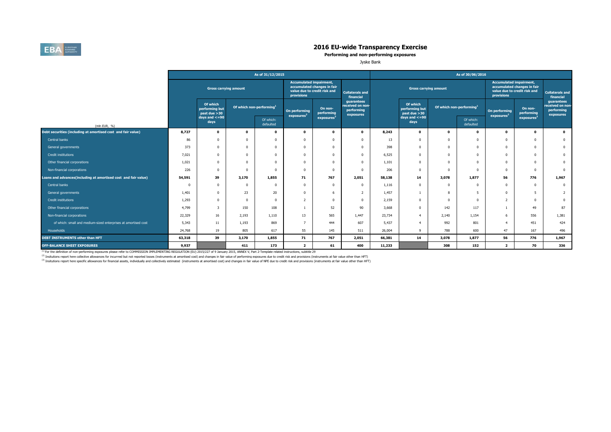

**Performing and non-performing exposures**

Jyske Bank

|                                                                |        |                                            |                                      | As of 31/12/2015       |                                              |                                                             |                                                           |        |                                             |                                      | As of 30/06/2016       |                                              |                                                             |                                                           |
|----------------------------------------------------------------|--------|--------------------------------------------|--------------------------------------|------------------------|----------------------------------------------|-------------------------------------------------------------|-----------------------------------------------------------|--------|---------------------------------------------|--------------------------------------|------------------------|----------------------------------------------|-------------------------------------------------------------|-----------------------------------------------------------|
|                                                                |        | <b>Gross carrying amount</b>               |                                      |                        | <b>Accumulated impairment,</b><br>provisions | accumulated changes in fair<br>value due to credit risk and | <b>Collaterals and</b><br>financial                       |        | <b>Gross carrying amount</b>                |                                      |                        | <b>Accumulated impairment.</b><br>provisions | accumulated changes in fair<br>value due to credit risk and | <b>Collaterals and</b><br>financial                       |
|                                                                |        | Of which<br>performing but<br>past due >30 | Of which non-performing <sup>1</sup> |                        | On performing<br>exposure <sup>2</sup>       | On non-<br>performing                                       | guarantees<br>received on non-<br>performing<br>exposures |        | Of which<br>performing but<br>past due > 30 | Of which non-performing <sup>1</sup> |                        | On performing<br>exposures <sup>2</sup>      | On non-<br>performing                                       | guarantees<br>received on non-<br>performing<br>exposures |
| (mln EUR, %)                                                   |        | days and $\lt$ =90<br>days                 |                                      | Of which:<br>defaulted |                                              | exposures <sup>3</sup>                                      |                                                           |        | days and $\lt=90$<br>days                   |                                      | Of which:<br>defaulted |                                              | exposures <sup>3</sup>                                      |                                                           |
| Debt securities (including at amortised cost and fair value)   | 8,727  | $\mathbf 0$                                | 0                                    | $\Omega$               | $\mathbf{0}$                                 | $\Omega$                                                    | $\mathbf 0$                                               | 8,243  | $\mathbf{o}$                                | $\Omega$                             | $\mathbf 0$            | $\mathbf 0$                                  | $\mathbf 0$                                                 | $\mathbf 0$                                               |
| Central banks                                                  | 86     | 0                                          |                                      | $\Omega$               |                                              |                                                             | $\Omega$                                                  | 13     | $\Omega$                                    |                                      | $\Omega$               | $^{\circ}$                                   | $\Omega$                                                    | $\bf{0}$                                                  |
| General governments                                            | 373    | 0                                          |                                      | $\Omega$               | $\Omega$                                     |                                                             | $\Omega$                                                  | 398    | $\mathbf{0}$                                |                                      | $\Omega$               | $^{\circ}$                                   | $\Omega$                                                    | $\mathbf{0}$                                              |
| Credit institutions                                            | 7,021  | <sub>0</sub>                               |                                      | $\Omega$               | $\Omega$                                     |                                                             | $\Omega$                                                  | 6,525  | $\Omega$                                    |                                      | $\Omega$               | $^{\circ}$                                   | $\Omega$                                                    | $\mathbf{0}$                                              |
| Other financial corporations                                   | 1,021  | 0                                          |                                      | $\Omega$               |                                              |                                                             | $\Omega$                                                  | 1,101  | $\Omega$                                    |                                      | $\Omega$               | $^{\circ}$                                   | $\Omega$                                                    | $\mathbf{0}$                                              |
| Non-financial corporations                                     | 226    | $\Omega$                                   |                                      | $\Omega$               | $\Omega$                                     | $\Omega$                                                    | $\Omega$                                                  | 206    | $\Omega$                                    |                                      | $\Omega$               | $^{\circ}$                                   | $\Omega$                                                    | $\overline{0}$                                            |
| Loans and advances(including at amortised cost and fair value) | 54,591 | 39                                         | 3,170                                | 1,855                  | 71                                           | 767                                                         | 2,051                                                     | 58,138 | 14                                          | 3,078                                | 1,877                  | 56                                           | 776                                                         | 1,967                                                     |
| Central banks                                                  |        | $\Omega$                                   | n                                    | $\Omega$               | $\Omega$                                     | $\Omega$                                                    | $^{\circ}$                                                | 1,116  | $\Omega$                                    |                                      | $\Omega$               | $^{\circ}$                                   | $\overline{0}$                                              | $\mathbf 0$                                               |
| General governments                                            | 1,401  | $\Omega$                                   | 23                                   | 20                     | $\Omega$                                     |                                                             | 2                                                         | 1,457  |                                             | 8                                    | 5                      | $^{\circ}$                                   | 5                                                           | $\overline{2}$                                            |
| Credit institutions                                            | 1,293  | 0                                          |                                      | $\Omega$               | $\overline{z}$                               |                                                             | $\Omega$                                                  | 2,159  | $\Omega$                                    |                                      | $\Omega$               | $\overline{2}$                               | $\Omega$                                                    | $\mathbf{0}$                                              |
| Other financial corporations                                   | 4,799  |                                            | 150                                  | 108                    |                                              | 52                                                          | 90                                                        | 3,668  | $\Omega$                                    | 142                                  | 117                    |                                              | 49                                                          | 87                                                        |
| Non-financial corporations                                     | 22,329 | 16                                         | 2,193                                | 1,110                  | 13                                           | 565                                                         | 1,447                                                     | 23,734 | $\overline{4}$                              | 2,140                                | 1,154                  | 6                                            | 556                                                         | 1,381                                                     |
| of which: small and medium-sized enterprises at amortised cost | 5,343  | 11                                         | 1,193                                | 869                    | $\overline{z}$                               | 444                                                         | 607                                                       | 5,437  | $\overline{4}$                              | 992                                  | 801                    | $\overline{4}$                               | 451                                                         | 424                                                       |
| Households                                                     | 24,768 | 19                                         | 805                                  | 617                    | 55                                           | 145                                                         | 511                                                       | 26,004 | $\mathbf{q}$                                | 788                                  | 600                    | 47                                           | 167                                                         | 496                                                       |
| DEBT INSTRUMENTS other than HFT                                | 63,318 | 39                                         | 3,170                                | 1,855                  | 71                                           | 767                                                         | 2,051                                                     | 66,381 | 14                                          | 3,078                                | 1,877                  | 56                                           | 776                                                         | 1,967                                                     |
| <b>OFF-BALANCE SHEET EXPOSURES</b>                             | 9,937  |                                            | 411                                  | 173                    | $\overline{2}$                               | 61                                                          | 400                                                       | 11,233 |                                             | 308                                  | 152                    | $\overline{2}$                               | 70                                                          | 336                                                       |

<sup>(1)</sup> For the definition of non-performing exposures please refer to COMMISSION IMPLEMENTING REGULATION (EU) 2015/227 of 9 January 2015, ANNEX V, Part 2-Template related instructions, subtitle 29

<sup>(2)</sup> Insitutions report here collective allowances for incurrred but not reported losses (instruments at amortised cost) and changes in fair value of performing exposures due to credit risk and provisions (instruments at

<sup>(3)</sup> Insitutions report here specific allowances for financial assets, individually and collectively estimated (instruments at amortised cost) and changes in fair value of NPE due to credit risk and provisions (instrument